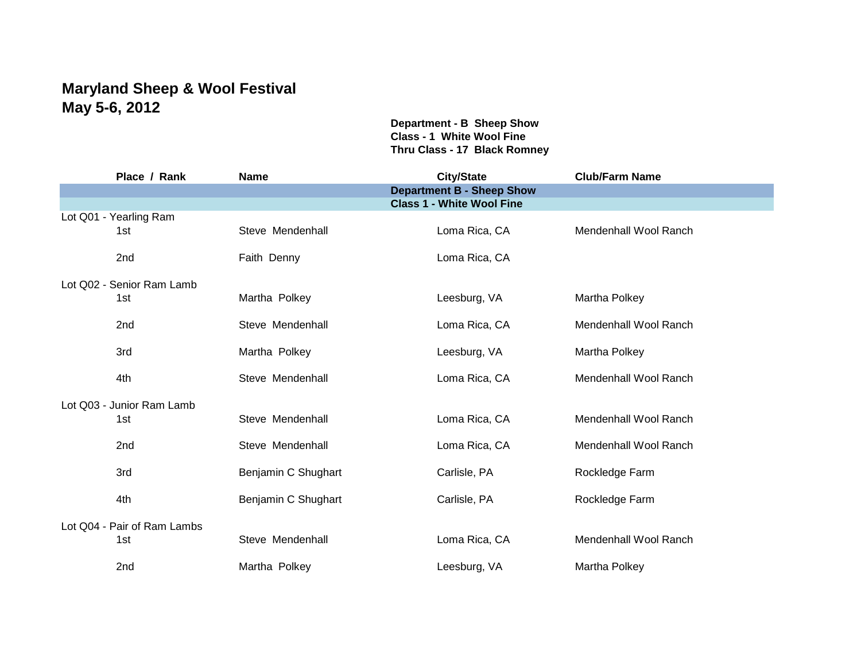## **Maryland Sheep & Wool Festival May 5-6, 2012**

**Department - B Sheep Show Class - 1 White Wool Fine Thru Class - 17 Black Romney**

| Place / Rank                | <b>Name</b>         | <b>City/State</b>                | <b>Club/Farm Name</b>        |
|-----------------------------|---------------------|----------------------------------|------------------------------|
|                             |                     | <b>Department B - Sheep Show</b> |                              |
|                             |                     | <b>Class 1 - White Wool Fine</b> |                              |
| Lot Q01 - Yearling Ram      |                     |                                  |                              |
| 1st                         | Steve Mendenhall    | Loma Rica, CA                    | Mendenhall Wool Ranch        |
| 2nd                         | Faith Denny         | Loma Rica, CA                    |                              |
| Lot Q02 - Senior Ram Lamb   |                     |                                  |                              |
| 1st                         | Martha Polkey       | Leesburg, VA                     | Martha Polkey                |
|                             |                     |                                  |                              |
| 2nd                         | Steve Mendenhall    | Loma Rica, CA                    | Mendenhall Wool Ranch        |
|                             |                     |                                  |                              |
| 3rd                         | Martha Polkey       | Leesburg, VA                     | Martha Polkey                |
|                             |                     |                                  |                              |
| 4th                         | Steve Mendenhall    | Loma Rica, CA                    | Mendenhall Wool Ranch        |
|                             |                     |                                  |                              |
| Lot Q03 - Junior Ram Lamb   |                     |                                  |                              |
| 1st                         | Steve Mendenhall    | Loma Rica, CA                    | Mendenhall Wool Ranch        |
|                             | Steve Mendenhall    |                                  |                              |
| 2 <sub>nd</sub>             |                     | Loma Rica, CA                    | Mendenhall Wool Ranch        |
| 3rd                         | Benjamin C Shughart | Carlisle, PA                     | Rockledge Farm               |
|                             |                     |                                  |                              |
| 4th                         | Benjamin C Shughart | Carlisle, PA                     | Rockledge Farm               |
|                             |                     |                                  |                              |
| Lot Q04 - Pair of Ram Lambs |                     |                                  |                              |
| 1st                         | Steve Mendenhall    | Loma Rica, CA                    | <b>Mendenhall Wool Ranch</b> |
|                             |                     |                                  |                              |
| 2nd                         | Martha Polkey       | Leesburg, VA                     | Martha Polkey                |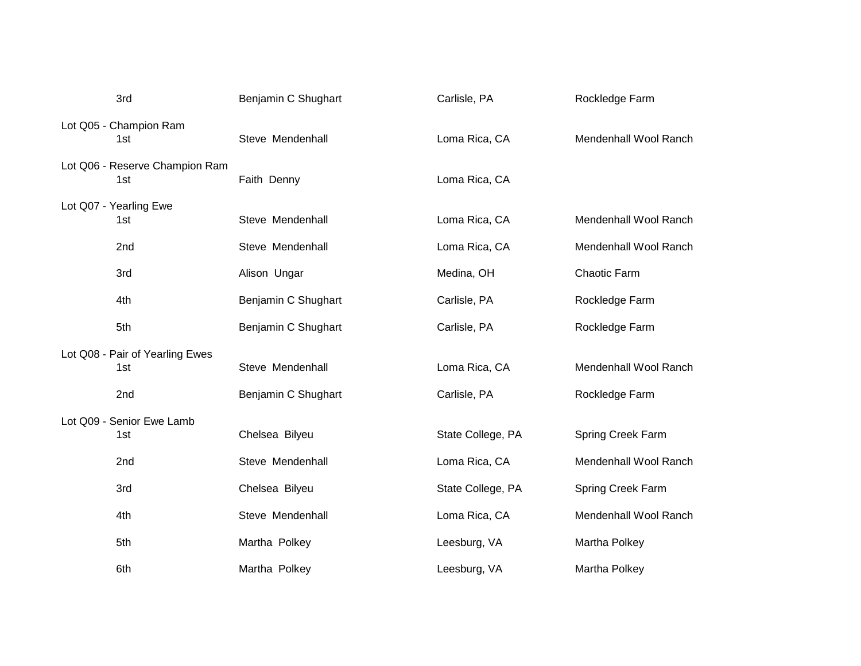| 3rd                                    | Benjamin C Shughart | Carlisle, PA      | Rockledge Farm        |
|----------------------------------------|---------------------|-------------------|-----------------------|
| Lot Q05 - Champion Ram<br>1st          | Steve Mendenhall    | Loma Rica, CA     | Mendenhall Wool Ranch |
| Lot Q06 - Reserve Champion Ram<br>1st  | Faith Denny         | Loma Rica, CA     |                       |
| Lot Q07 - Yearling Ewe<br>1st          | Steve Mendenhall    | Loma Rica, CA     | Mendenhall Wool Ranch |
| 2nd                                    | Steve Mendenhall    | Loma Rica, CA     | Mendenhall Wool Ranch |
| 3rd                                    | Alison Ungar        | Medina, OH        | Chaotic Farm          |
| 4th                                    | Benjamin C Shughart | Carlisle, PA      | Rockledge Farm        |
| 5th                                    | Benjamin C Shughart | Carlisle, PA      | Rockledge Farm        |
| Lot Q08 - Pair of Yearling Ewes<br>1st | Steve Mendenhall    | Loma Rica, CA     | Mendenhall Wool Ranch |
| 2nd                                    | Benjamin C Shughart | Carlisle, PA      | Rockledge Farm        |
| Lot Q09 - Senior Ewe Lamb<br>1st       | Chelsea Bilyeu      | State College, PA | Spring Creek Farm     |
| 2nd                                    | Steve Mendenhall    | Loma Rica, CA     | Mendenhall Wool Ranch |
| 3rd                                    | Chelsea Bilyeu      | State College, PA | Spring Creek Farm     |
| 4th                                    | Steve Mendenhall    | Loma Rica, CA     | Mendenhall Wool Ranch |
| 5th                                    | Martha Polkey       | Leesburg, VA      | Martha Polkey         |
| 6th                                    | Martha Polkey       | Leesburg, VA      | Martha Polkey         |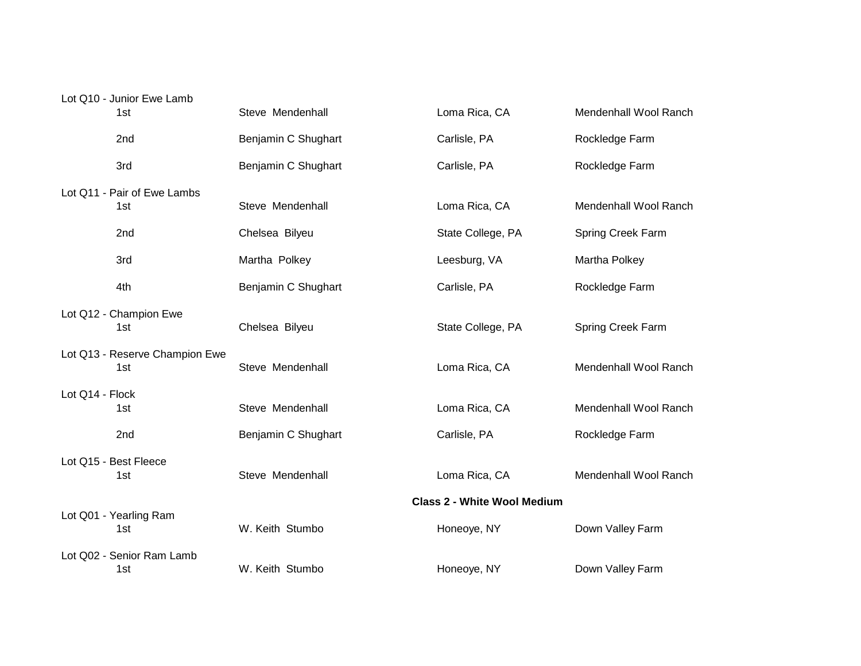| Lot Q10 - Junior Ewe Lamb<br>1st | Steve Mendenhall    | Loma Rica, CA                      | Mendenhall Wool Ranch |
|----------------------------------|---------------------|------------------------------------|-----------------------|
|                                  |                     |                                    |                       |
| 2nd                              | Benjamin C Shughart | Carlisle, PA                       | Rockledge Farm        |
| 3rd                              | Benjamin C Shughart | Carlisle, PA                       | Rockledge Farm        |
| Lot Q11 - Pair of Ewe Lambs      |                     |                                    |                       |
| 1st                              | Steve Mendenhall    | Loma Rica, CA                      | Mendenhall Wool Ranch |
| 2nd                              | Chelsea Bilyeu      | State College, PA                  | Spring Creek Farm     |
| 3rd                              | Martha Polkey       | Leesburg, VA                       | Martha Polkey         |
| 4th                              | Benjamin C Shughart | Carlisle, PA                       | Rockledge Farm        |
| Lot Q12 - Champion Ewe           |                     |                                    |                       |
| 1st                              | Chelsea Bilyeu      | State College, PA                  | Spring Creek Farm     |
| Lot Q13 - Reserve Champion Ewe   |                     |                                    |                       |
| 1st                              | Steve Mendenhall    | Loma Rica, CA                      | Mendenhall Wool Ranch |
| Lot Q14 - Flock                  |                     |                                    |                       |
| 1st                              | Steve Mendenhall    | Loma Rica, CA                      | Mendenhall Wool Ranch |
| 2nd                              | Benjamin C Shughart | Carlisle, PA                       | Rockledge Farm        |
| Lot Q15 - Best Fleece            |                     |                                    |                       |
| 1st                              | Steve Mendenhall    | Loma Rica, CA                      | Mendenhall Wool Ranch |
|                                  |                     | <b>Class 2 - White Wool Medium</b> |                       |
| Lot Q01 - Yearling Ram<br>1st    | W. Keith Stumbo     | Honeoye, NY                        | Down Valley Farm      |
| Lot Q02 - Senior Ram Lamb        |                     |                                    |                       |
| 1st                              | W. Keith Stumbo     | Honeoye, NY                        | Down Valley Farm      |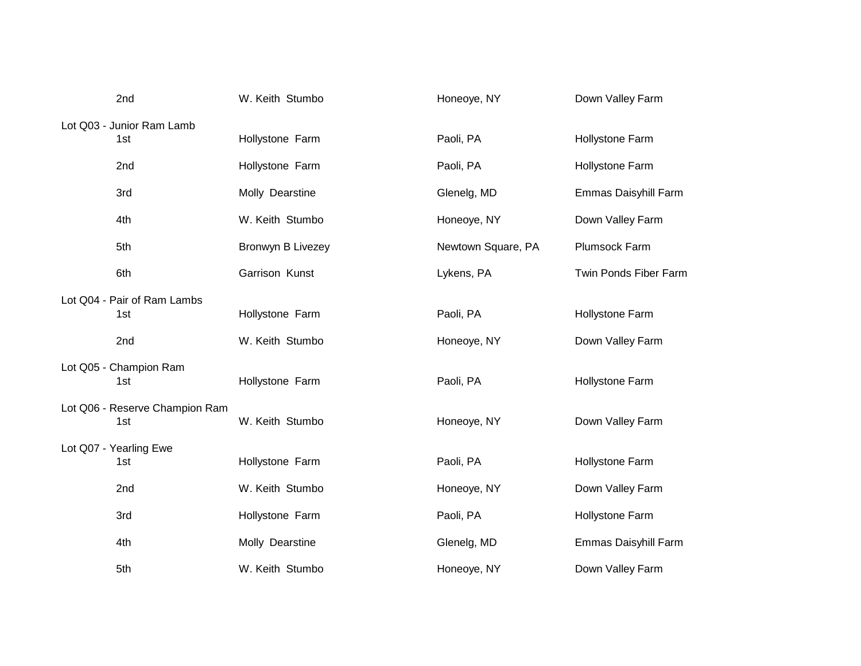| 2nd                            | W. Keith Stumbo   | Honeoye, NY        | Down Valley Farm      |
|--------------------------------|-------------------|--------------------|-----------------------|
| Lot Q03 - Junior Ram Lamb      |                   |                    |                       |
| 1st                            | Hollystone Farm   | Paoli, PA          | Hollystone Farm       |
| 2nd                            | Hollystone Farm   | Paoli, PA          | Hollystone Farm       |
| 3rd                            | Molly Dearstine   | Glenelg, MD        | Emmas Daisyhill Farm  |
| 4th                            | W. Keith Stumbo   | Honeoye, NY        | Down Valley Farm      |
| 5th                            | Bronwyn B Livezey | Newtown Square, PA | Plumsock Farm         |
| 6th                            | Garrison Kunst    | Lykens, PA         | Twin Ponds Fiber Farm |
| Lot Q04 - Pair of Ram Lambs    |                   |                    |                       |
| 1st                            | Hollystone Farm   | Paoli, PA          | Hollystone Farm       |
| 2nd                            | W. Keith Stumbo   | Honeoye, NY        | Down Valley Farm      |
| Lot Q05 - Champion Ram         |                   |                    |                       |
| 1st                            | Hollystone Farm   | Paoli, PA          | Hollystone Farm       |
| Lot Q06 - Reserve Champion Ram |                   |                    |                       |
| 1st                            | W. Keith Stumbo   | Honeoye, NY        | Down Valley Farm      |
| Lot Q07 - Yearling Ewe         |                   |                    |                       |
| 1st                            | Hollystone Farm   | Paoli, PA          | Hollystone Farm       |
| 2nd                            | W. Keith Stumbo   | Honeoye, NY        | Down Valley Farm      |
| 3rd                            | Hollystone Farm   | Paoli, PA          | Hollystone Farm       |
| 4th                            | Molly Dearstine   | Glenelg, MD        | Emmas Daisyhill Farm  |
| 5th                            | W. Keith Stumbo   | Honeoye, NY        | Down Valley Farm      |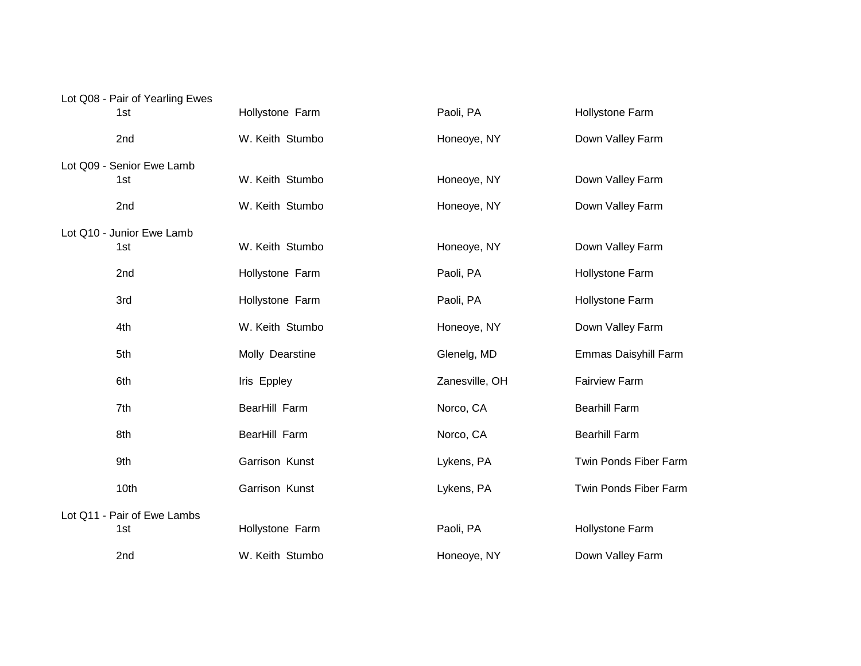| Lot Q08 - Pair of Yearling Ewes |                 |                |                       |
|---------------------------------|-----------------|----------------|-----------------------|
| 1st                             | Hollystone Farm | Paoli, PA      | Hollystone Farm       |
| 2nd                             | W. Keith Stumbo | Honeoye, NY    | Down Valley Farm      |
| Lot Q09 - Senior Ewe Lamb       |                 |                |                       |
| 1st                             | W. Keith Stumbo | Honeoye, NY    | Down Valley Farm      |
| 2nd                             | W. Keith Stumbo | Honeoye, NY    | Down Valley Farm      |
| Lot Q10 - Junior Ewe Lamb       |                 |                |                       |
| 1st                             | W. Keith Stumbo | Honeoye, NY    | Down Valley Farm      |
| 2nd                             | Hollystone Farm | Paoli, PA      | Hollystone Farm       |
| 3rd                             | Hollystone Farm | Paoli, PA      | Hollystone Farm       |
| 4th                             | W. Keith Stumbo | Honeoye, NY    | Down Valley Farm      |
| 5th                             | Molly Dearstine | Glenelg, MD    | Emmas Daisyhill Farm  |
| 6th                             | Iris Eppley     | Zanesville, OH | <b>Fairview Farm</b>  |
| 7th                             | BearHill Farm   | Norco, CA      | <b>Bearhill Farm</b>  |
| 8th                             | BearHill Farm   | Norco, CA      | <b>Bearhill Farm</b>  |
| 9th                             | Garrison Kunst  | Lykens, PA     | Twin Ponds Fiber Farm |
| 10th                            | Garrison Kunst  | Lykens, PA     | Twin Ponds Fiber Farm |
| Lot Q11 - Pair of Ewe Lambs     |                 |                |                       |
| 1st                             | Hollystone Farm | Paoli, PA      | Hollystone Farm       |
| 2nd                             | W. Keith Stumbo | Honeoye, NY    | Down Valley Farm      |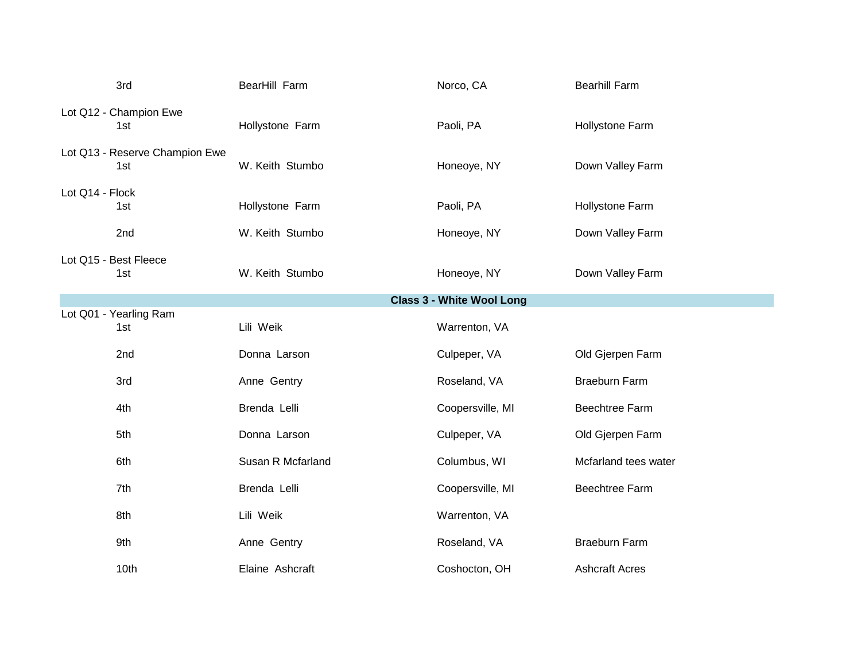| 3rd                                   | BearHill Farm     | Norco, CA        | <b>Bearhill Farm</b>  |
|---------------------------------------|-------------------|------------------|-----------------------|
| Lot Q12 - Champion Ewe<br>1st         | Hollystone Farm   | Paoli, PA        | Hollystone Farm       |
| Lot Q13 - Reserve Champion Ewe<br>1st | W. Keith Stumbo   | Honeoye, NY      | Down Valley Farm      |
| Lot Q14 - Flock<br>1st                | Hollystone Farm   | Paoli, PA        | Hollystone Farm       |
| 2nd                                   | W. Keith Stumbo   | Honeoye, NY      | Down Valley Farm      |
| Lot Q15 - Best Fleece<br>1st          | W. Keith Stumbo   | Honeoye, NY      | Down Valley Farm      |
|                                       |                   |                  |                       |
| Lot Q01 - Yearling Ram<br>1st         | Lili Weik         | Warrenton, VA    |                       |
| 2nd                                   | Donna Larson      | Culpeper, VA     | Old Gjerpen Farm      |
| 3rd                                   | Anne Gentry       | Roseland, VA     | <b>Braeburn Farm</b>  |
| 4th                                   | Brenda Lelli      | Coopersville, MI | <b>Beechtree Farm</b> |
| 5th                                   | Donna Larson      | Culpeper, VA     | Old Gjerpen Farm      |
| 6th                                   | Susan R Mcfarland | Columbus, WI     | Mcfarland tees water  |
| 7th                                   | Brenda Lelli      | Coopersville, MI | Beechtree Farm        |
| 8th                                   | Lili Weik         | Warrenton, VA    |                       |
| 9th                                   | Anne Gentry       | Roseland, VA     | <b>Braeburn Farm</b>  |
| 10th                                  | Elaine Ashcraft   | Coshocton, OH    | <b>Ashcraft Acres</b> |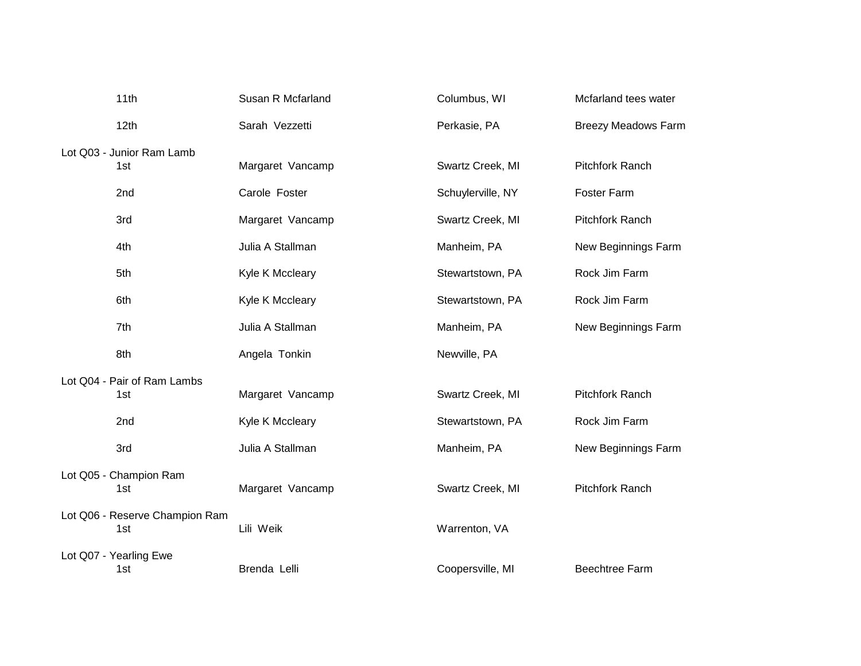| 11th                                  | Susan R Mcfarland | Columbus, WI      | Mcfarland tees water       |
|---------------------------------------|-------------------|-------------------|----------------------------|
| 12th                                  | Sarah Vezzetti    | Perkasie, PA      | <b>Breezy Meadows Farm</b> |
| Lot Q03 - Junior Ram Lamb             |                   |                   |                            |
| 1st                                   | Margaret Vancamp  | Swartz Creek, MI  | <b>Pitchfork Ranch</b>     |
| 2nd                                   | Carole Foster     | Schuylerville, NY | <b>Foster Farm</b>         |
| 3rd                                   | Margaret Vancamp  | Swartz Creek, MI  | <b>Pitchfork Ranch</b>     |
| 4th                                   | Julia A Stallman  | Manheim, PA       | New Beginnings Farm        |
| 5th                                   | Kyle K Mccleary   | Stewartstown, PA  | Rock Jim Farm              |
| 6th                                   | Kyle K Mccleary   | Stewartstown, PA  | Rock Jim Farm              |
| 7th                                   | Julia A Stallman  | Manheim, PA       | New Beginnings Farm        |
| 8th                                   | Angela Tonkin     | Newville, PA      |                            |
| Lot Q04 - Pair of Ram Lambs           |                   |                   |                            |
| 1st                                   | Margaret Vancamp  | Swartz Creek, MI  | Pitchfork Ranch            |
| 2nd                                   | Kyle K Mccleary   | Stewartstown, PA  | Rock Jim Farm              |
| 3rd                                   | Julia A Stallman  | Manheim, PA       | New Beginnings Farm        |
| Lot Q05 - Champion Ram                |                   |                   |                            |
| 1st                                   | Margaret Vancamp  | Swartz Creek, MI  | Pitchfork Ranch            |
| Lot Q06 - Reserve Champion Ram<br>1st | Lili Weik         | Warrenton, VA     |                            |
|                                       |                   |                   |                            |
| Lot Q07 - Yearling Ewe                |                   |                   |                            |
| 1st                                   | Brenda Lelli      | Coopersville, MI  | <b>Beechtree Farm</b>      |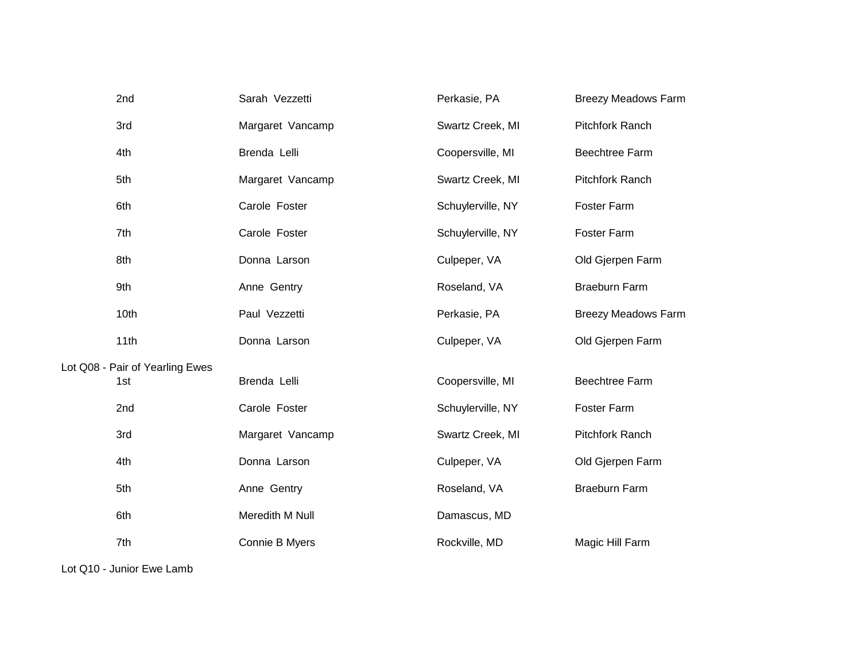| 2nd                                    | Sarah Vezzetti   | Perkasie, PA      | <b>Breezy Meadows Farm</b> |
|----------------------------------------|------------------|-------------------|----------------------------|
| 3rd                                    | Margaret Vancamp | Swartz Creek, MI  | Pitchfork Ranch            |
| 4th                                    | Brenda Lelli     | Coopersville, MI  | <b>Beechtree Farm</b>      |
| 5th                                    | Margaret Vancamp | Swartz Creek, MI  | Pitchfork Ranch            |
| 6th                                    | Carole Foster    | Schuylerville, NY | Foster Farm                |
| 7th                                    | Carole Foster    | Schuylerville, NY | Foster Farm                |
| 8th                                    | Donna Larson     | Culpeper, VA      | Old Gjerpen Farm           |
| 9th                                    | Anne Gentry      | Roseland, VA      | <b>Braeburn Farm</b>       |
| 10th                                   | Paul Vezzetti    | Perkasie, PA      | <b>Breezy Meadows Farm</b> |
| 11th                                   | Donna Larson     | Culpeper, VA      | Old Gjerpen Farm           |
| Lot Q08 - Pair of Yearling Ewes<br>1st | Brenda Lelli     | Coopersville, MI  | <b>Beechtree Farm</b>      |
| 2nd                                    | Carole Foster    | Schuylerville, NY | Foster Farm                |
| 3rd                                    | Margaret Vancamp | Swartz Creek, MI  | Pitchfork Ranch            |
| 4th                                    | Donna Larson     | Culpeper, VA      | Old Gjerpen Farm           |
| 5th                                    | Anne Gentry      | Roseland, VA      | <b>Braeburn Farm</b>       |
| 6th                                    | Meredith M Null  | Damascus, MD      |                            |
| 7th                                    | Connie B Myers   | Rockville, MD     | Magic Hill Farm            |

Lot Q10 - Junior Ewe Lamb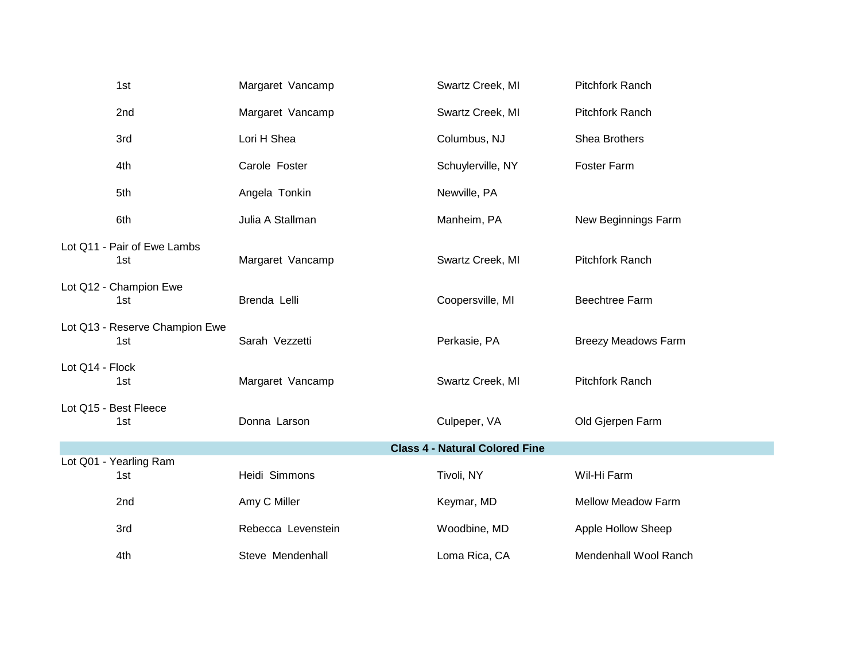|                 | 1st                                   | Margaret Vancamp   | Swartz Creek, MI                      | <b>Pitchfork Ranch</b>     |
|-----------------|---------------------------------------|--------------------|---------------------------------------|----------------------------|
|                 | 2nd                                   | Margaret Vancamp   | Swartz Creek, MI                      | Pitchfork Ranch            |
|                 | 3rd                                   | Lori H Shea        | Columbus, NJ                          | Shea Brothers              |
|                 | 4th                                   | Carole Foster      | Schuylerville, NY                     | Foster Farm                |
|                 | 5th                                   | Angela Tonkin      | Newville, PA                          |                            |
|                 | 6th                                   | Julia A Stallman   | Manheim, PA                           | New Beginnings Farm        |
|                 | Lot Q11 - Pair of Ewe Lambs<br>1st    | Margaret Vancamp   | Swartz Creek, MI                      | Pitchfork Ranch            |
|                 | Lot Q12 - Champion Ewe<br>1st         | Brenda Lelli       | Coopersville, MI                      | <b>Beechtree Farm</b>      |
|                 | Lot Q13 - Reserve Champion Ewe<br>1st | Sarah Vezzetti     | Perkasie, PA                          | <b>Breezy Meadows Farm</b> |
| Lot Q14 - Flock | 1st                                   | Margaret Vancamp   | Swartz Creek, MI                      | Pitchfork Ranch            |
|                 | Lot Q15 - Best Fleece<br>1st          | Donna Larson       | Culpeper, VA                          | Old Gjerpen Farm           |
|                 |                                       |                    | <b>Class 4 - Natural Colored Fine</b> |                            |
|                 | Lot Q01 - Yearling Ram<br>1st         | Heidi Simmons      | Tivoli, NY                            | Wil-Hi Farm                |
|                 | 2nd                                   | Amy C Miller       | Keymar, MD                            | Mellow Meadow Farm         |
|                 | 3rd                                   | Rebecca Levenstein | Woodbine, MD                          | Apple Hollow Sheep         |
|                 | 4th                                   | Steve Mendenhall   | Loma Rica, CA                         | Mendenhall Wool Ranch      |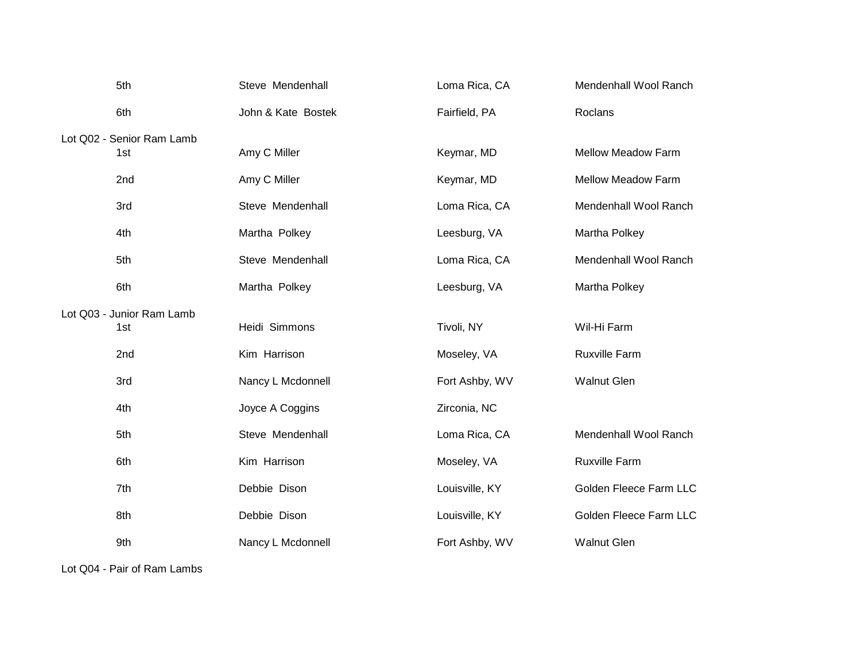| 5th                       | Steve Mendenhall   | Loma Rica, CA  | Mendenhall Wool Ranch     |
|---------------------------|--------------------|----------------|---------------------------|
| 6th                       | John & Kate Bostek | Fairfield, PA  | Roclans                   |
| Lot Q02 - Senior Ram Lamb |                    |                |                           |
| 1st                       | Amy C Miller       | Keymar, MD     | <b>Mellow Meadow Farm</b> |
| 2nd                       | Amy C Miller       | Keymar, MD     | <b>Mellow Meadow Farm</b> |
| 3rd                       | Steve Mendenhall   | Loma Rica, CA  | Mendenhall Wool Ranch     |
| 4th                       | Martha Polkey      | Leesburg, VA   | Martha Polkey             |
| 5th                       | Steve Mendenhall   | Loma Rica, CA  | Mendenhall Wool Ranch     |
| 6th                       | Martha Polkey      | Leesburg, VA   | Martha Polkey             |
| Lot Q03 - Junior Ram Lamb |                    |                |                           |
| 1st                       | Heidi Simmons      | Tivoli, NY     | Wil-Hi Farm               |
| 2nd                       | Kim Harrison       | Moseley, VA    | Ruxville Farm             |
| 3rd                       | Nancy L Mcdonnell  | Fort Ashby, WV | <b>Walnut Glen</b>        |
| 4th                       | Joyce A Coggins    | Zirconia, NC   |                           |
| 5th                       | Steve Mendenhall   | Loma Rica, CA  | Mendenhall Wool Ranch     |
| 6th                       | Kim Harrison       | Moseley, VA    | <b>Ruxville Farm</b>      |
| 7th                       | Debbie Dison       | Louisville, KY | Golden Fleece Farm LLC    |
| 8th                       | Debbie Dison       | Louisville, KY | Golden Fleece Farm LLC    |
| 9th                       | Nancy L Mcdonnell  | Fort Ashby, WV | <b>Walnut Glen</b>        |

Lot Q04 - Pair of Ram Lambs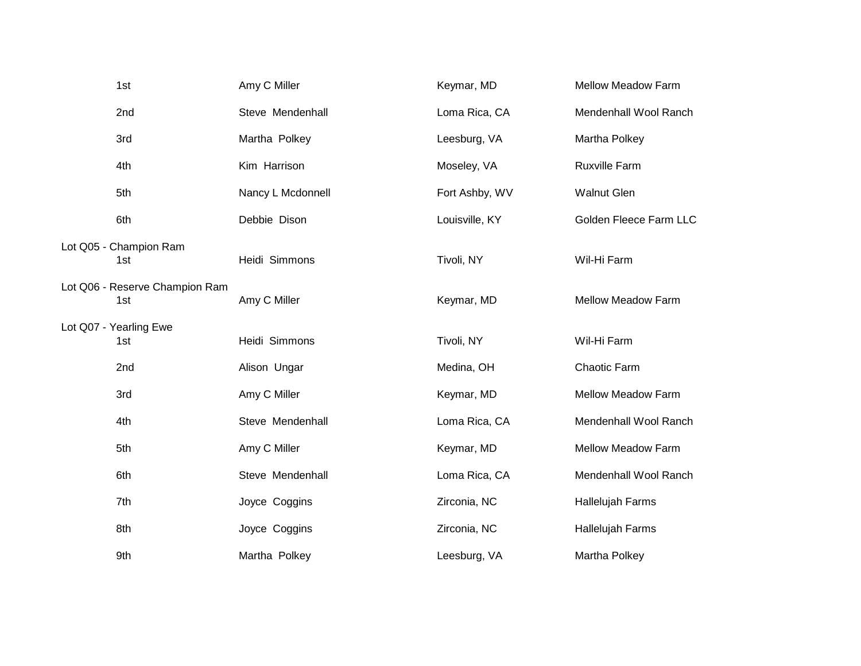| 1st                                   | Amy C Miller      | Keymar, MD     | <b>Mellow Meadow Farm</b> |
|---------------------------------------|-------------------|----------------|---------------------------|
| 2nd                                   | Steve Mendenhall  | Loma Rica, CA  | Mendenhall Wool Ranch     |
| 3rd                                   | Martha Polkey     | Leesburg, VA   | Martha Polkey             |
| 4th                                   | Kim Harrison      | Moseley, VA    | <b>Ruxville Farm</b>      |
| 5th                                   | Nancy L Mcdonnell | Fort Ashby, WV | <b>Walnut Glen</b>        |
| 6th                                   | Debbie Dison      | Louisville, KY | Golden Fleece Farm LLC    |
| Lot Q05 - Champion Ram<br>1st         | Heidi Simmons     | Tivoli, NY     | Wil-Hi Farm               |
| Lot Q06 - Reserve Champion Ram<br>1st | Amy C Miller      | Keymar, MD     | <b>Mellow Meadow Farm</b> |
| Lot Q07 - Yearling Ewe<br>1st         | Heidi Simmons     | Tivoli, NY     | Wil-Hi Farm               |
| 2nd                                   | Alison Ungar      | Medina, OH     | Chaotic Farm              |
| 3rd                                   | Amy C Miller      | Keymar, MD     | <b>Mellow Meadow Farm</b> |
| 4th                                   | Steve Mendenhall  | Loma Rica, CA  | Mendenhall Wool Ranch     |
| 5th                                   | Amy C Miller      | Keymar, MD     | Mellow Meadow Farm        |
| 6th                                   | Steve Mendenhall  | Loma Rica, CA  | Mendenhall Wool Ranch     |
| 7th                                   | Joyce Coggins     | Zirconia, NC   | Hallelujah Farms          |
| 8th                                   | Joyce Coggins     | Zirconia, NC   | Hallelujah Farms          |
| 9th                                   | Martha Polkey     | Leesburg, VA   | Martha Polkey             |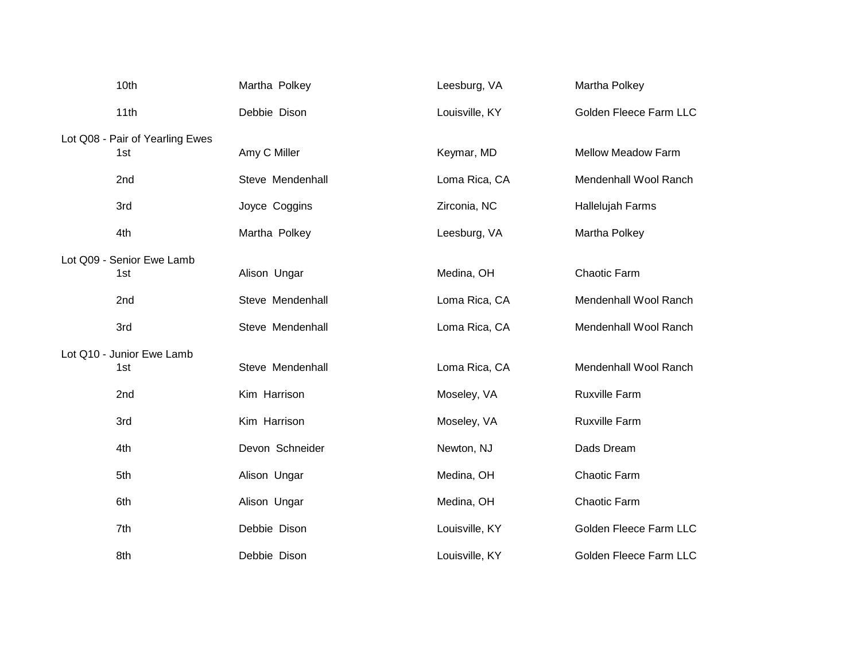| 10th                                   | Martha Polkey    | Leesburg, VA   | Martha Polkey             |
|----------------------------------------|------------------|----------------|---------------------------|
| 11th                                   | Debbie Dison     | Louisville, KY | Golden Fleece Farm LLC    |
| Lot Q08 - Pair of Yearling Ewes<br>1st | Amy C Miller     | Keymar, MD     | <b>Mellow Meadow Farm</b> |
|                                        |                  |                |                           |
| 2nd                                    | Steve Mendenhall | Loma Rica, CA  | Mendenhall Wool Ranch     |
| 3rd                                    | Joyce Coggins    | Zirconia, NC   | Hallelujah Farms          |
| 4th                                    | Martha Polkey    | Leesburg, VA   | Martha Polkey             |
| Lot Q09 - Senior Ewe Lamb              |                  |                |                           |
| 1st                                    | Alison Ungar     | Medina, OH     | Chaotic Farm              |
| 2nd                                    | Steve Mendenhall | Loma Rica, CA  | Mendenhall Wool Ranch     |
| 3rd                                    | Steve Mendenhall | Loma Rica, CA  | Mendenhall Wool Ranch     |
| Lot Q10 - Junior Ewe Lamb              |                  |                |                           |
| 1st                                    | Steve Mendenhall | Loma Rica, CA  | Mendenhall Wool Ranch     |
| 2nd                                    | Kim Harrison     | Moseley, VA    | <b>Ruxville Farm</b>      |
| 3rd                                    | Kim Harrison     | Moseley, VA    | <b>Ruxville Farm</b>      |
| 4th                                    | Devon Schneider  | Newton, NJ     | Dads Dream                |
| 5th                                    | Alison Ungar     | Medina, OH     | Chaotic Farm              |
| 6th                                    | Alison Ungar     | Medina, OH     | Chaotic Farm              |
| 7th                                    | Debbie Dison     | Louisville, KY | Golden Fleece Farm LLC    |
| 8th                                    | Debbie Dison     | Louisville, KY | Golden Fleece Farm LLC    |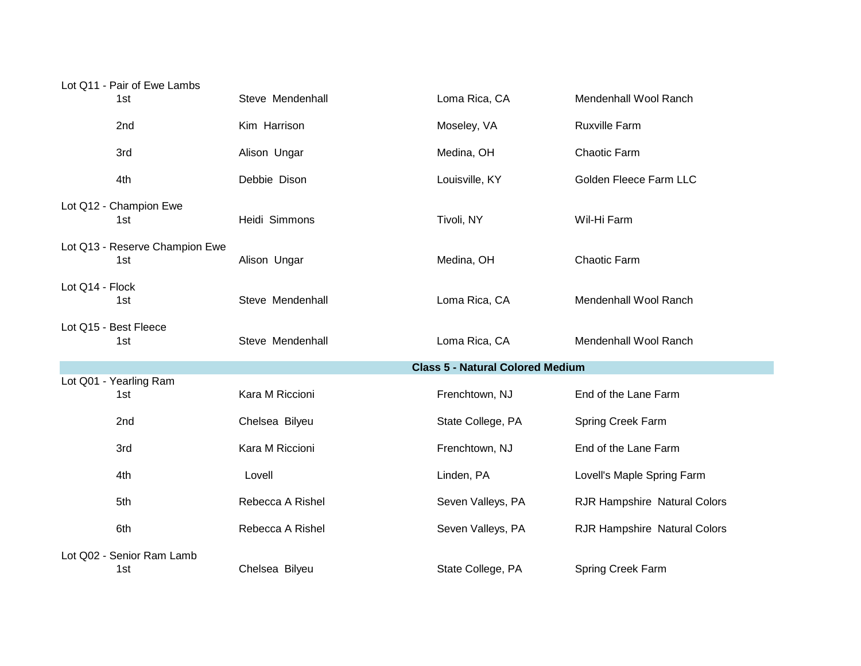| Lot Q11 - Pair of Ewe Lambs           |                                         |                   |                              |  |
|---------------------------------------|-----------------------------------------|-------------------|------------------------------|--|
| 1st                                   | Steve Mendenhall                        | Loma Rica, CA     | Mendenhall Wool Ranch        |  |
| 2nd                                   | Kim Harrison                            | Moseley, VA       | <b>Ruxville Farm</b>         |  |
| 3rd                                   | Alison Ungar                            | Medina, OH        | Chaotic Farm                 |  |
| 4th                                   | Debbie Dison                            | Louisville, KY    | Golden Fleece Farm LLC       |  |
| Lot Q12 - Champion Ewe<br>1st         | Heidi Simmons                           | Tivoli, NY        | Wil-Hi Farm                  |  |
| Lot Q13 - Reserve Champion Ewe<br>1st | Alison Ungar                            | Medina, OH        | Chaotic Farm                 |  |
| Lot Q14 - Flock<br>1st                | Steve Mendenhall                        | Loma Rica, CA     | Mendenhall Wool Ranch        |  |
| Lot Q15 - Best Fleece<br>1st          | Steve Mendenhall                        | Loma Rica, CA     | Mendenhall Wool Ranch        |  |
|                                       | <b>Class 5 - Natural Colored Medium</b> |                   |                              |  |
| Lot Q01 - Yearling Ram<br>1st         | Kara M Riccioni                         | Frenchtown, NJ    | End of the Lane Farm         |  |
| 2nd                                   | Chelsea Bilyeu                          | State College, PA | Spring Creek Farm            |  |
| 3rd                                   | Kara M Riccioni                         | Frenchtown, NJ    | End of the Lane Farm         |  |
| 4th                                   | Lovell                                  | Linden, PA        | Lovell's Maple Spring Farm   |  |
| 5th                                   | Rebecca A Rishel                        | Seven Valleys, PA | RJR Hampshire Natural Colors |  |
| 6th                                   | Rebecca A Rishel                        | Seven Valleys, PA | RJR Hampshire Natural Colors |  |
| Lot Q02 - Senior Ram Lamb             |                                         |                   |                              |  |
| 1st                                   | Chelsea Bilyeu                          | State College, PA | Spring Creek Farm            |  |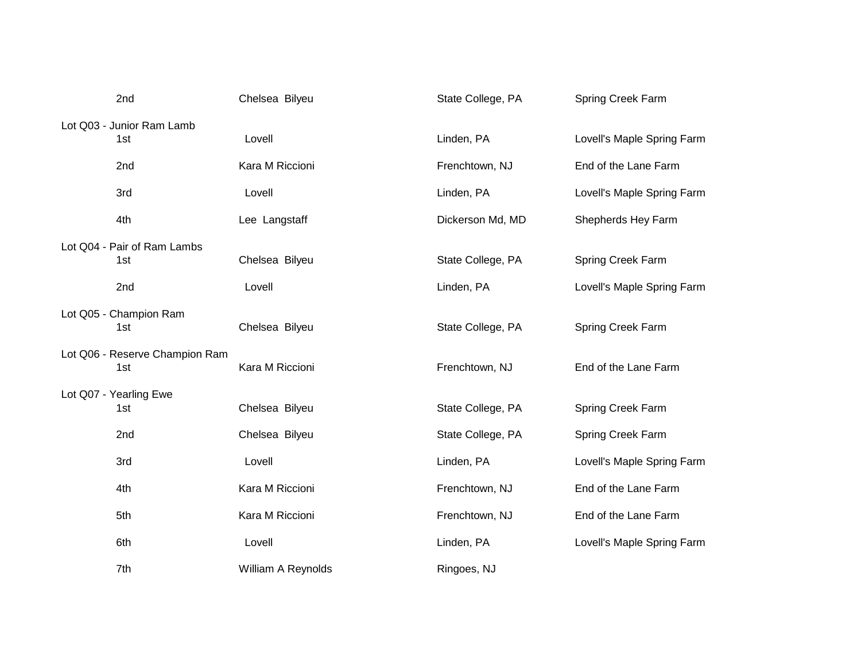| 2nd                            | Chelsea Bilyeu     | State College, PA | Spring Creek Farm          |
|--------------------------------|--------------------|-------------------|----------------------------|
| Lot Q03 - Junior Ram Lamb      |                    |                   |                            |
| 1st                            | Lovell             | Linden, PA        | Lovell's Maple Spring Farm |
| 2nd                            | Kara M Riccioni    | Frenchtown, NJ    | End of the Lane Farm       |
| 3rd                            | Lovell             | Linden, PA        | Lovell's Maple Spring Farm |
| 4th                            | Lee Langstaff      | Dickerson Md, MD  | Shepherds Hey Farm         |
| Lot Q04 - Pair of Ram Lambs    |                    |                   |                            |
| 1st                            | Chelsea Bilyeu     | State College, PA | Spring Creek Farm          |
| 2nd                            | Lovell             | Linden, PA        | Lovell's Maple Spring Farm |
| Lot Q05 - Champion Ram         |                    |                   |                            |
| 1st                            | Chelsea Bilyeu     | State College, PA | Spring Creek Farm          |
| Lot Q06 - Reserve Champion Ram |                    |                   |                            |
| 1st                            | Kara M Riccioni    | Frenchtown, NJ    | End of the Lane Farm       |
| Lot Q07 - Yearling Ewe         |                    |                   |                            |
| 1st                            | Chelsea Bilyeu     | State College, PA | Spring Creek Farm          |
| 2nd                            | Chelsea Bilyeu     | State College, PA | Spring Creek Farm          |
| 3rd                            | Lovell             | Linden, PA        | Lovell's Maple Spring Farm |
| 4th                            | Kara M Riccioni    | Frenchtown, NJ    | End of the Lane Farm       |
| 5th                            | Kara M Riccioni    | Frenchtown, NJ    | End of the Lane Farm       |
| 6th                            | Lovell             | Linden, PA        | Lovell's Maple Spring Farm |
| 7th                            | William A Reynolds | Ringoes, NJ       |                            |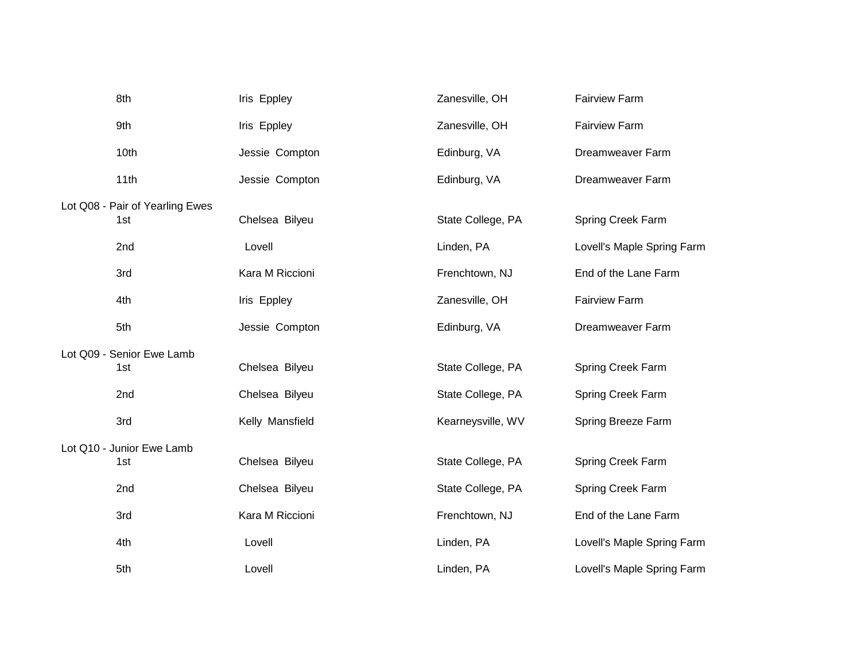| 8th                             | Iris Eppley     | Zanesville, OH    | <b>Fairview Farm</b>       |
|---------------------------------|-----------------|-------------------|----------------------------|
| 9th                             | Iris Eppley     | Zanesville, OH    | <b>Fairview Farm</b>       |
| 10th                            | Jessie Compton  | Edinburg, VA      | <b>Dreamweaver Farm</b>    |
| 11th                            | Jessie Compton  | Edinburg, VA      | Dreamweaver Farm           |
| Lot Q08 - Pair of Yearling Ewes |                 |                   |                            |
| 1st                             | Chelsea Bilyeu  | State College, PA | Spring Creek Farm          |
| 2nd                             | Lovell          | Linden, PA        | Lovell's Maple Spring Farm |
| 3rd                             | Kara M Riccioni | Frenchtown, NJ    | End of the Lane Farm       |
| 4th                             | Iris Eppley     | Zanesville, OH    | <b>Fairview Farm</b>       |
| 5th                             | Jessie Compton  | Edinburg, VA      | Dreamweaver Farm           |
| Lot Q09 - Senior Ewe Lamb       |                 |                   |                            |
| 1st                             | Chelsea Bilyeu  | State College, PA | Spring Creek Farm          |
| 2nd                             | Chelsea Bilyeu  | State College, PA | Spring Creek Farm          |
| 3rd                             | Kelly Mansfield | Kearneysville, WV | Spring Breeze Farm         |
| Lot Q10 - Junior Ewe Lamb       |                 |                   |                            |
| 1st                             | Chelsea Bilyeu  | State College, PA | Spring Creek Farm          |
| 2nd                             | Chelsea Bilyeu  | State College, PA | Spring Creek Farm          |
| 3rd                             | Kara M Riccioni | Frenchtown, NJ    | End of the Lane Farm       |
| 4th                             | Lovell          | Linden, PA        | Lovell's Maple Spring Farm |
| 5th                             | Lovell          | Linden, PA        | Lovell's Maple Spring Farm |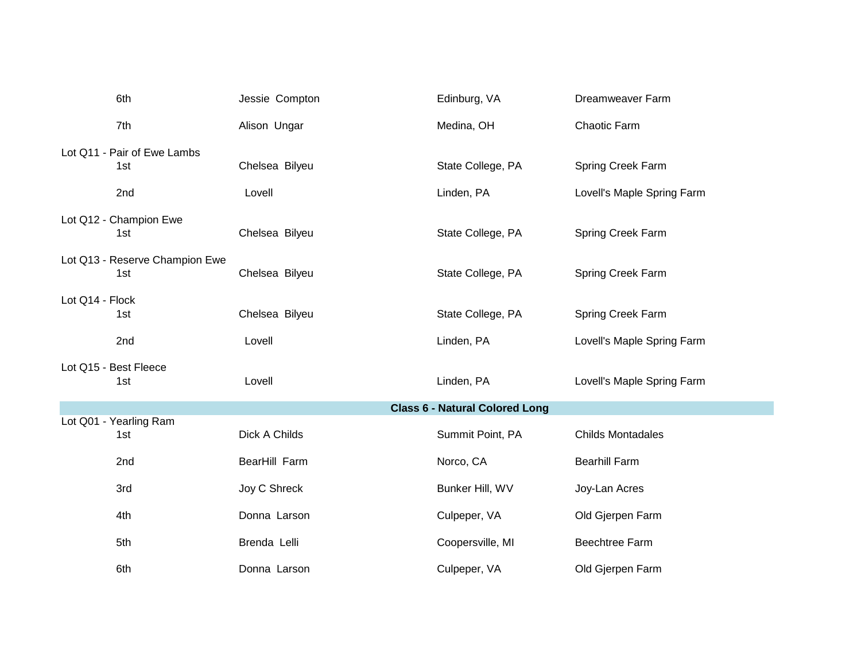|                 | 6th                                   | Jessie Compton | Edinburg, VA                          | Dreamweaver Farm           |
|-----------------|---------------------------------------|----------------|---------------------------------------|----------------------------|
|                 | 7th                                   | Alison Ungar   | Medina, OH                            | Chaotic Farm               |
|                 | Lot Q11 - Pair of Ewe Lambs<br>1st    | Chelsea Bilyeu | State College, PA                     | Spring Creek Farm          |
|                 | 2nd                                   | Lovell         | Linden, PA                            | Lovell's Maple Spring Farm |
|                 | Lot Q12 - Champion Ewe<br>1st         | Chelsea Bilyeu | State College, PA                     | Spring Creek Farm          |
|                 | Lot Q13 - Reserve Champion Ewe<br>1st | Chelsea Bilyeu | State College, PA                     | Spring Creek Farm          |
| Lot Q14 - Flock | 1st                                   | Chelsea Bilyeu | State College, PA                     | Spring Creek Farm          |
|                 | 2nd                                   | Lovell         | Linden, PA                            | Lovell's Maple Spring Farm |
|                 | Lot Q15 - Best Fleece<br>1st          | Lovell         | Linden, PA                            | Lovell's Maple Spring Farm |
|                 |                                       |                | <b>Class 6 - Natural Colored Long</b> |                            |
|                 | Lot Q01 - Yearling Ram<br>1st         | Dick A Childs  | Summit Point, PA                      | <b>Childs Montadales</b>   |
|                 | 2nd                                   | BearHill Farm  | Norco, CA                             | <b>Bearhill Farm</b>       |
|                 | 3rd                                   | Joy C Shreck   | Bunker Hill, WV                       | Joy-Lan Acres              |
|                 | 4th                                   | Donna Larson   | Culpeper, VA                          | Old Gjerpen Farm           |
|                 | 5th                                   | Brenda Lelli   | Coopersville, MI                      | <b>Beechtree Farm</b>      |
|                 | 6th                                   | Donna Larson   | Culpeper, VA                          | Old Gjerpen Farm           |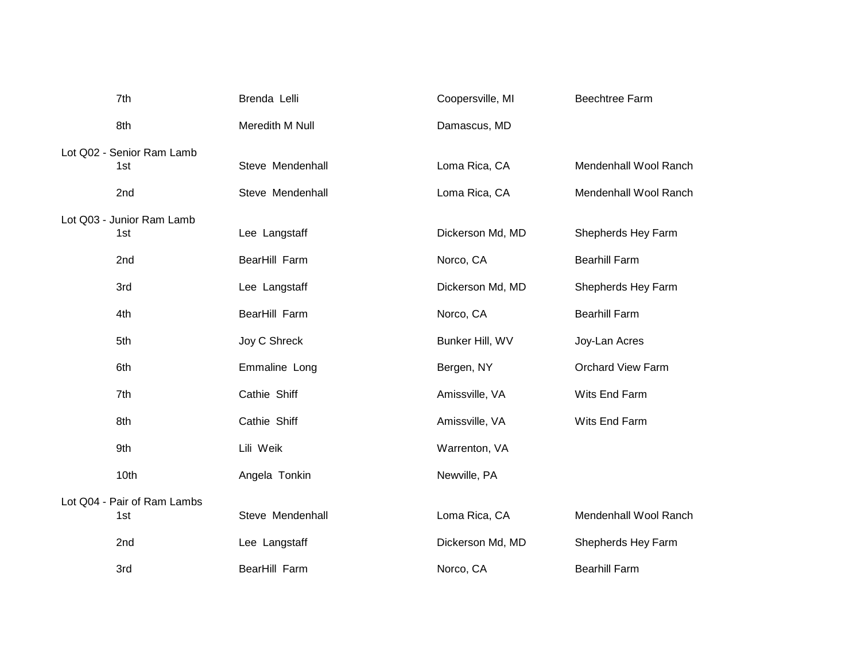| 7th                         | Brenda Lelli     | Coopersville, MI | <b>Beechtree Farm</b>    |
|-----------------------------|------------------|------------------|--------------------------|
| 8th                         | Meredith M Null  | Damascus, MD     |                          |
| Lot Q02 - Senior Ram Lamb   |                  |                  |                          |
| 1st                         | Steve Mendenhall | Loma Rica, CA    | Mendenhall Wool Ranch    |
| 2nd                         | Steve Mendenhall | Loma Rica, CA    | Mendenhall Wool Ranch    |
| Lot Q03 - Junior Ram Lamb   |                  |                  |                          |
| 1st                         | Lee Langstaff    | Dickerson Md, MD | Shepherds Hey Farm       |
| 2nd                         | BearHill Farm    | Norco, CA        | <b>Bearhill Farm</b>     |
| 3rd                         | Lee Langstaff    | Dickerson Md, MD | Shepherds Hey Farm       |
| 4th                         | BearHill Farm    | Norco, CA        | <b>Bearhill Farm</b>     |
| 5th                         | Joy C Shreck     | Bunker Hill, WV  | Joy-Lan Acres            |
| 6th                         | Emmaline Long    | Bergen, NY       | <b>Orchard View Farm</b> |
| 7th                         | Cathie Shiff     | Amissville, VA   | Wits End Farm            |
| 8th                         | Cathie Shiff     | Amissville, VA   | Wits End Farm            |
| 9th                         | Lili Weik        | Warrenton, VA    |                          |
| 10th                        | Angela Tonkin    | Newville, PA     |                          |
| Lot Q04 - Pair of Ram Lambs |                  |                  |                          |
| 1st                         | Steve Mendenhall | Loma Rica, CA    | Mendenhall Wool Ranch    |
| 2nd                         | Lee Langstaff    | Dickerson Md, MD | Shepherds Hey Farm       |
| 3rd                         | BearHill Farm    | Norco, CA        | <b>Bearhill Farm</b>     |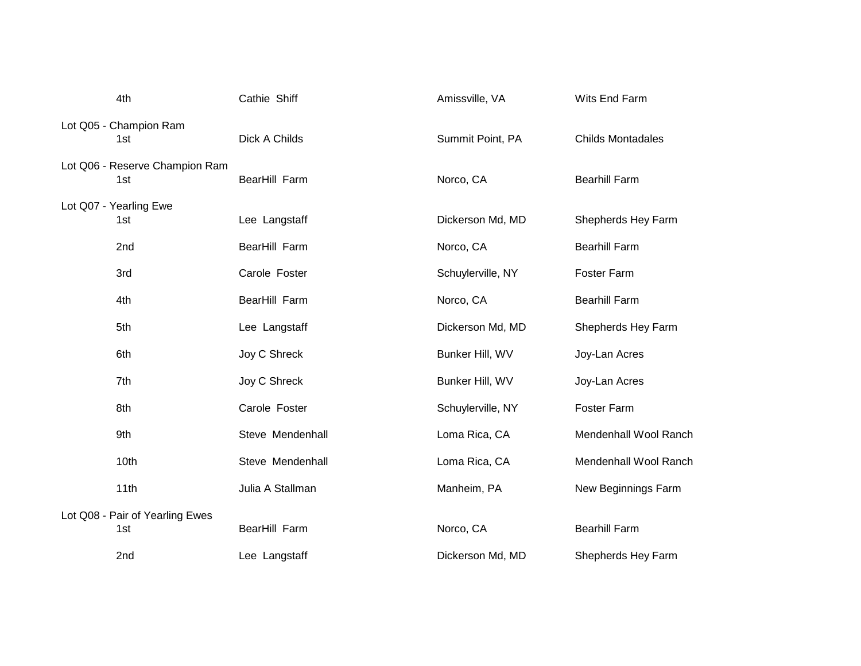| 4th                                    | Cathie Shiff     | Amissville, VA    | Wits End Farm            |
|----------------------------------------|------------------|-------------------|--------------------------|
| Lot Q05 - Champion Ram<br>1st          | Dick A Childs    | Summit Point, PA  | <b>Childs Montadales</b> |
| Lot Q06 - Reserve Champion Ram<br>1st  | BearHill Farm    | Norco, CA         | <b>Bearhill Farm</b>     |
| Lot Q07 - Yearling Ewe<br>1st          | Lee Langstaff    | Dickerson Md, MD  | Shepherds Hey Farm       |
| 2nd                                    | BearHill Farm    | Norco, CA         | <b>Bearhill Farm</b>     |
| 3rd                                    | Carole Foster    | Schuylerville, NY | Foster Farm              |
| 4th                                    | BearHill Farm    | Norco, CA         | <b>Bearhill Farm</b>     |
| 5th                                    | Lee Langstaff    | Dickerson Md, MD  | Shepherds Hey Farm       |
| 6th                                    | Joy C Shreck     | Bunker Hill, WV   | Joy-Lan Acres            |
| 7th                                    | Joy C Shreck     | Bunker Hill, WV   | Joy-Lan Acres            |
| 8th                                    | Carole Foster    | Schuylerville, NY | Foster Farm              |
| 9th                                    | Steve Mendenhall | Loma Rica, CA     | Mendenhall Wool Ranch    |
| 10th                                   | Steve Mendenhall | Loma Rica, CA     | Mendenhall Wool Ranch    |
| 11th                                   | Julia A Stallman | Manheim, PA       | New Beginnings Farm      |
| Lot Q08 - Pair of Yearling Ewes<br>1st | BearHill Farm    | Norco, CA         | <b>Bearhill Farm</b>     |
| 2nd                                    | Lee Langstaff    | Dickerson Md, MD  | Shepherds Hey Farm       |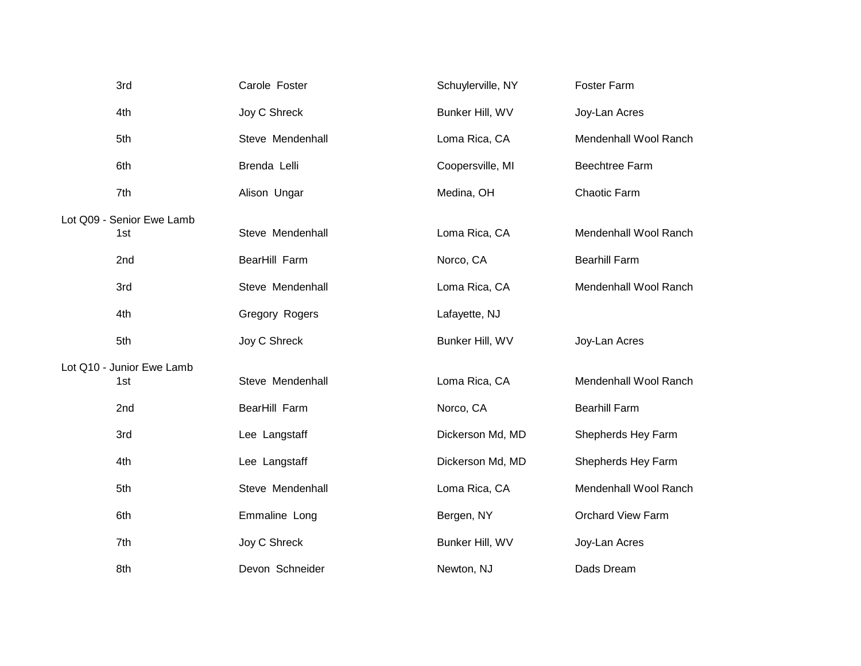| 3rd                       | Carole Foster    | Schuylerville, NY | <b>Foster Farm</b>       |
|---------------------------|------------------|-------------------|--------------------------|
| 4th                       | Joy C Shreck     | Bunker Hill, WV   | Joy-Lan Acres            |
| 5th                       | Steve Mendenhall | Loma Rica, CA     | Mendenhall Wool Ranch    |
| 6th                       | Brenda Lelli     | Coopersville, MI  | Beechtree Farm           |
| 7th                       | Alison Ungar     | Medina, OH        | Chaotic Farm             |
| Lot Q09 - Senior Ewe Lamb |                  |                   |                          |
| 1st                       | Steve Mendenhall | Loma Rica, CA     | Mendenhall Wool Ranch    |
| 2nd                       | BearHill Farm    | Norco, CA         | <b>Bearhill Farm</b>     |
| 3rd                       | Steve Mendenhall | Loma Rica, CA     | Mendenhall Wool Ranch    |
| 4th                       | Gregory Rogers   | Lafayette, NJ     |                          |
| 5th                       | Joy C Shreck     | Bunker Hill, WV   | Joy-Lan Acres            |
| Lot Q10 - Junior Ewe Lamb |                  |                   |                          |
| 1st                       | Steve Mendenhall | Loma Rica, CA     | Mendenhall Wool Ranch    |
| 2nd                       | BearHill Farm    | Norco, CA         | <b>Bearhill Farm</b>     |
| 3rd                       | Lee Langstaff    | Dickerson Md, MD  | Shepherds Hey Farm       |
| 4th                       | Lee Langstaff    | Dickerson Md, MD  | Shepherds Hey Farm       |
| 5th                       | Steve Mendenhall | Loma Rica, CA     | Mendenhall Wool Ranch    |
| 6th                       | Emmaline Long    | Bergen, NY        | <b>Orchard View Farm</b> |
| 7th                       | Joy C Shreck     | Bunker Hill, WV   | Joy-Lan Acres            |
| 8th                       | Devon Schneider  | Newton, NJ        | Dads Dream               |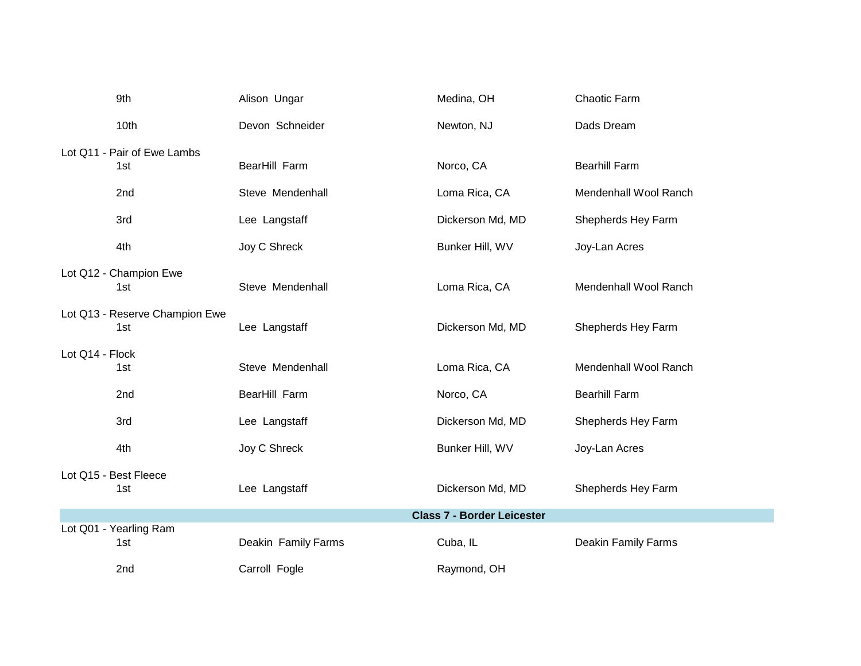| 9th                            | Alison Ungar        | Medina, OH                        | Chaotic Farm               |
|--------------------------------|---------------------|-----------------------------------|----------------------------|
| 10th                           | Devon Schneider     | Newton, NJ                        | Dads Dream                 |
| Lot Q11 - Pair of Ewe Lambs    |                     |                                   |                            |
| 1st                            | BearHill Farm       | Norco, CA                         | <b>Bearhill Farm</b>       |
| 2nd                            | Steve Mendenhall    | Loma Rica, CA                     | Mendenhall Wool Ranch      |
| 3rd                            | Lee Langstaff       | Dickerson Md, MD                  | Shepherds Hey Farm         |
| 4th                            | Joy C Shreck        | Bunker Hill, WV                   | Joy-Lan Acres              |
| Lot Q12 - Champion Ewe         |                     |                                   |                            |
| 1st                            | Steve Mendenhall    | Loma Rica, CA                     | Mendenhall Wool Ranch      |
| Lot Q13 - Reserve Champion Ewe |                     |                                   |                            |
| 1st                            | Lee Langstaff       | Dickerson Md, MD                  | Shepherds Hey Farm         |
| Lot Q14 - Flock                |                     |                                   |                            |
| 1st                            | Steve Mendenhall    | Loma Rica, CA                     | Mendenhall Wool Ranch      |
| 2nd                            | BearHill Farm       | Norco, CA                         | <b>Bearhill Farm</b>       |
| 3rd                            | Lee Langstaff       | Dickerson Md, MD                  | Shepherds Hey Farm         |
| 4th                            | Joy C Shreck        | Bunker Hill, WV                   | Joy-Lan Acres              |
| Lot Q15 - Best Fleece          |                     |                                   |                            |
| 1st                            | Lee Langstaff       | Dickerson Md, MD                  | Shepherds Hey Farm         |
|                                |                     | <b>Class 7 - Border Leicester</b> |                            |
| Lot Q01 - Yearling Ram<br>1st  | Deakin Family Farms | Cuba, IL                          | <b>Deakin Family Farms</b> |
|                                |                     |                                   |                            |
| 2nd                            | Carroll Fogle       | Raymond, OH                       |                            |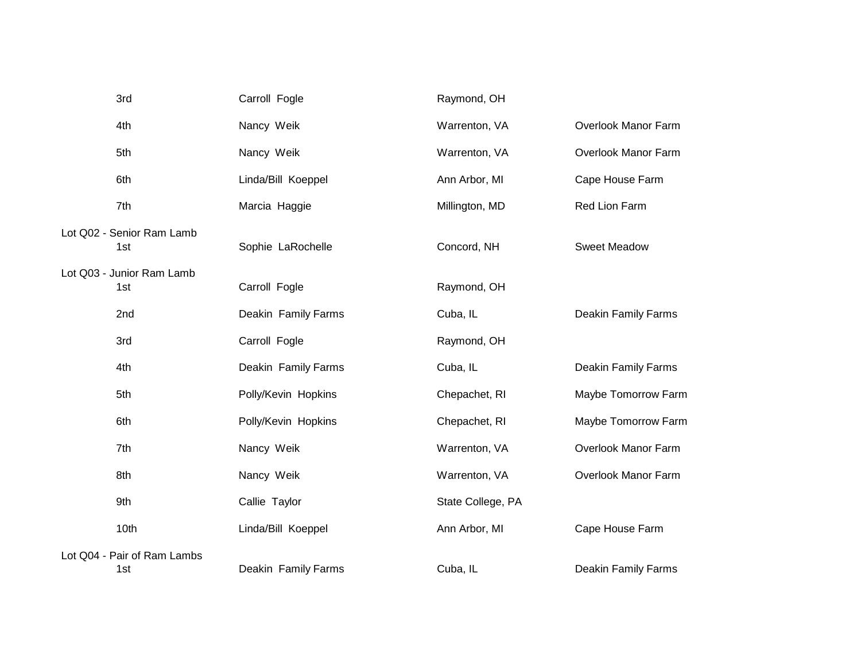| 3rd  |                             | Carroll Fogle       | Raymond, OH       |                            |
|------|-----------------------------|---------------------|-------------------|----------------------------|
| 4th  |                             | Nancy Weik          | Warrenton, VA     | Overlook Manor Farm        |
| 5th  |                             | Nancy Weik          | Warrenton, VA     | Overlook Manor Farm        |
| 6th  |                             | Linda/Bill Koeppel  | Ann Arbor, MI     | Cape House Farm            |
| 7th  |                             | Marcia Haggie       | Millington, MD    | Red Lion Farm              |
| 1st  | Lot Q02 - Senior Ram Lamb   | Sophie LaRochelle   | Concord, NH       | <b>Sweet Meadow</b>        |
| 1st  | Lot Q03 - Junior Ram Lamb   | Carroll Fogle       | Raymond, OH       |                            |
| 2nd  |                             | Deakin Family Farms | Cuba, IL          | <b>Deakin Family Farms</b> |
| 3rd  |                             | Carroll Fogle       | Raymond, OH       |                            |
| 4th  |                             | Deakin Family Farms | Cuba, IL          | <b>Deakin Family Farms</b> |
| 5th  |                             | Polly/Kevin Hopkins | Chepachet, RI     | Maybe Tomorrow Farm        |
| 6th  |                             | Polly/Kevin Hopkins | Chepachet, RI     | Maybe Tomorrow Farm        |
| 7th  |                             | Nancy Weik          | Warrenton, VA     | Overlook Manor Farm        |
| 8th  |                             | Nancy Weik          | Warrenton, VA     | Overlook Manor Farm        |
| 9th  |                             | Callie Taylor       | State College, PA |                            |
| 10th |                             | Linda/Bill Koeppel  | Ann Arbor, MI     | Cape House Farm            |
| 1st  | Lot Q04 - Pair of Ram Lambs | Deakin Family Farms | Cuba, IL          | <b>Deakin Family Farms</b> |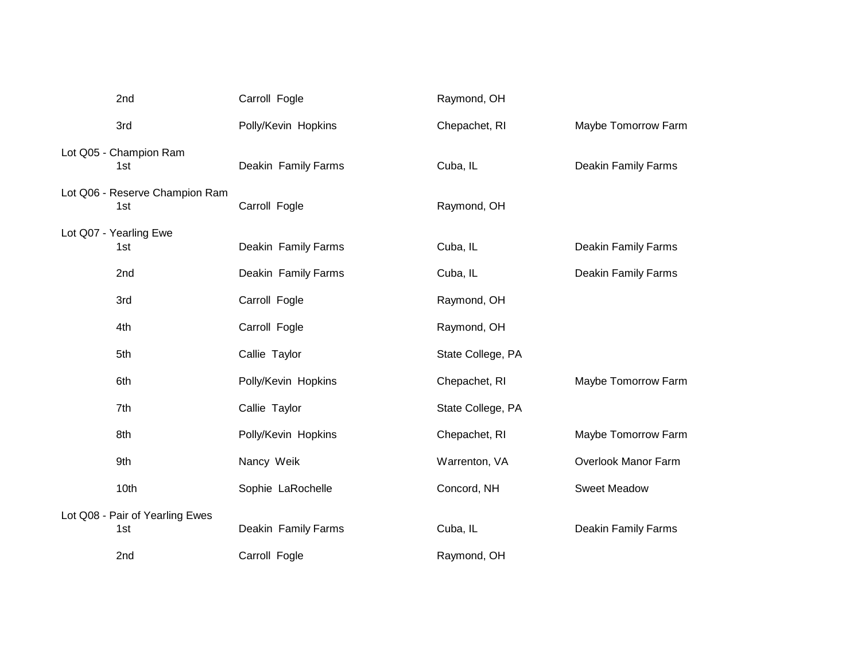| 2nd                                    | Carroll Fogle       | Raymond, OH       |                            |
|----------------------------------------|---------------------|-------------------|----------------------------|
| 3rd                                    | Polly/Kevin Hopkins | Chepachet, RI     | Maybe Tomorrow Farm        |
| Lot Q05 - Champion Ram<br>1st          | Deakin Family Farms | Cuba, IL          | <b>Deakin Family Farms</b> |
| Lot Q06 - Reserve Champion Ram<br>1st  | Carroll Fogle       | Raymond, OH       |                            |
| Lot Q07 - Yearling Ewe<br>1st          | Deakin Family Farms | Cuba, IL          | Deakin Family Farms        |
| 2nd                                    | Deakin Family Farms | Cuba, IL          | <b>Deakin Family Farms</b> |
| 3rd                                    | Carroll Fogle       | Raymond, OH       |                            |
| 4th                                    | Carroll Fogle       | Raymond, OH       |                            |
| 5th                                    | Callie Taylor       | State College, PA |                            |
| 6th                                    | Polly/Kevin Hopkins | Chepachet, RI     | Maybe Tomorrow Farm        |
| 7th                                    | Callie Taylor       | State College, PA |                            |
| 8th                                    | Polly/Kevin Hopkins | Chepachet, RI     | Maybe Tomorrow Farm        |
| 9th                                    | Nancy Weik          | Warrenton, VA     | Overlook Manor Farm        |
| 10th                                   | Sophie LaRochelle   | Concord, NH       | <b>Sweet Meadow</b>        |
| Lot Q08 - Pair of Yearling Ewes<br>1st | Deakin Family Farms | Cuba, IL          | <b>Deakin Family Farms</b> |
| 2nd                                    | Carroll Fogle       | Raymond, OH       |                            |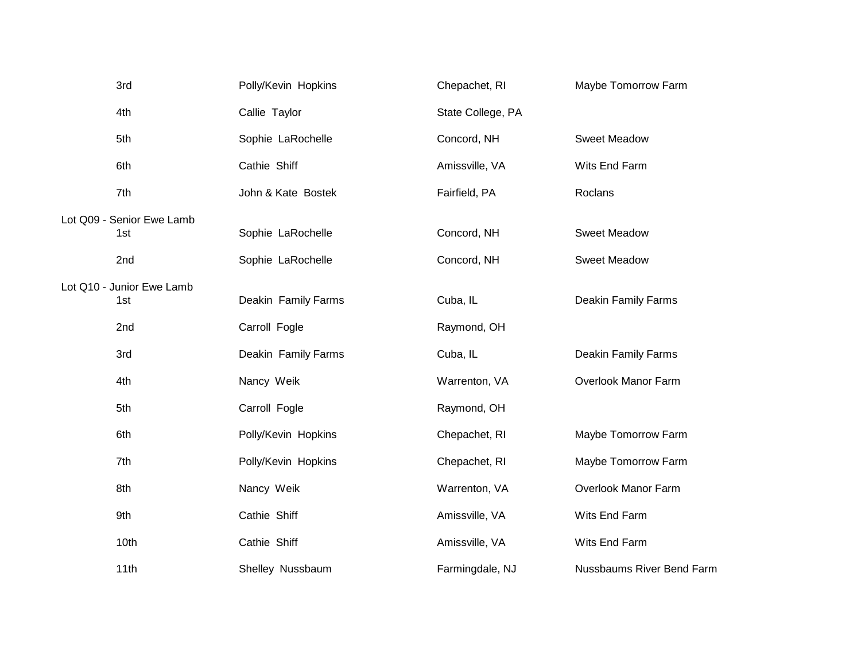| 3rd                              | Polly/Kevin Hopkins | Chepachet, RI     | Maybe Tomorrow Farm              |
|----------------------------------|---------------------|-------------------|----------------------------------|
| 4th                              | Callie Taylor       | State College, PA |                                  |
| 5th                              | Sophie LaRochelle   | Concord, NH       | <b>Sweet Meadow</b>              |
| 6th                              | Cathie Shiff        | Amissville, VA    | Wits End Farm                    |
| 7th                              | John & Kate Bostek  | Fairfield, PA     | Roclans                          |
| Lot Q09 - Senior Ewe Lamb<br>1st | Sophie LaRochelle   | Concord, NH       | <b>Sweet Meadow</b>              |
| 2nd                              | Sophie LaRochelle   | Concord, NH       | <b>Sweet Meadow</b>              |
| Lot Q10 - Junior Ewe Lamb<br>1st | Deakin Family Farms | Cuba, IL          | <b>Deakin Family Farms</b>       |
| 2nd                              | Carroll Fogle       | Raymond, OH       |                                  |
| 3rd                              | Deakin Family Farms | Cuba, IL          | Deakin Family Farms              |
| 4th                              | Nancy Weik          | Warrenton, VA     | Overlook Manor Farm              |
| 5th                              | Carroll Fogle       | Raymond, OH       |                                  |
| 6th                              | Polly/Kevin Hopkins | Chepachet, RI     | Maybe Tomorrow Farm              |
| 7th                              | Polly/Kevin Hopkins | Chepachet, RI     | Maybe Tomorrow Farm              |
| 8th                              | Nancy Weik          | Warrenton, VA     | Overlook Manor Farm              |
| 9th                              | Cathie Shiff        | Amissville, VA    | Wits End Farm                    |
| 10th                             | Cathie Shiff        | Amissville, VA    | Wits End Farm                    |
| 11th                             | Shelley Nussbaum    | Farmingdale, NJ   | <b>Nussbaums River Bend Farm</b> |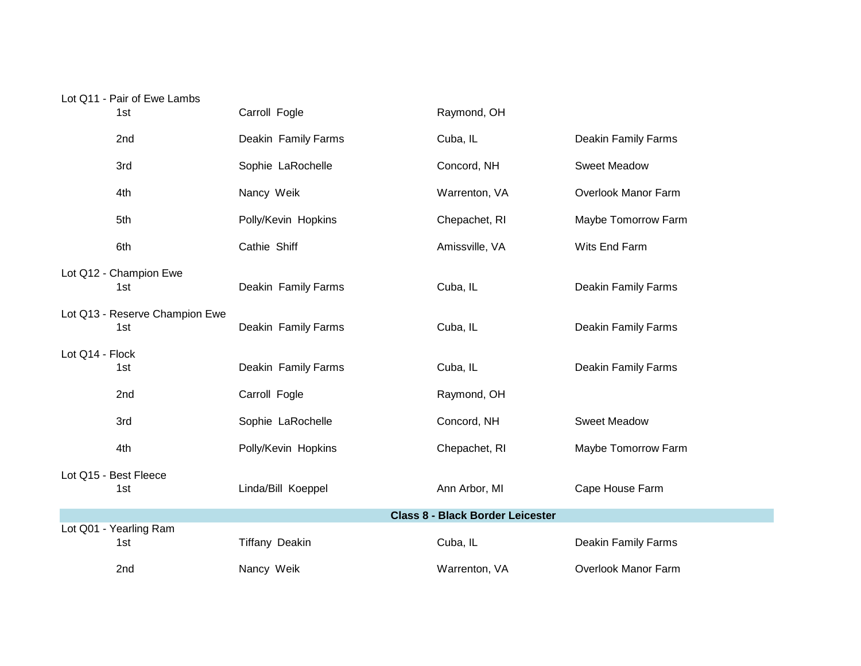## Lot Q11 - Pair of Ewe Lambs

| 1st                                   | Carroll Fogle         | Raymond, OH                             |                            |
|---------------------------------------|-----------------------|-----------------------------------------|----------------------------|
| 2nd                                   | Deakin Family Farms   | Cuba, IL                                | Deakin Family Farms        |
| 3rd                                   | Sophie LaRochelle     | Concord, NH                             | <b>Sweet Meadow</b>        |
| 4th                                   | Nancy Weik            | Warrenton, VA                           | Overlook Manor Farm        |
| 5th                                   | Polly/Kevin Hopkins   | Chepachet, RI                           | Maybe Tomorrow Farm        |
| 6th                                   | Cathie Shiff          | Amissville, VA                          | Wits End Farm              |
| Lot Q12 - Champion Ewe<br>1st         | Deakin Family Farms   | Cuba, IL                                | <b>Deakin Family Farms</b> |
| Lot Q13 - Reserve Champion Ewe<br>1st | Deakin Family Farms   | Cuba, IL                                | Deakin Family Farms        |
| Lot Q14 - Flock<br>1st                | Deakin Family Farms   | Cuba, IL                                | Deakin Family Farms        |
| 2nd                                   | Carroll Fogle         | Raymond, OH                             |                            |
| 3rd                                   | Sophie LaRochelle     | Concord, NH                             | <b>Sweet Meadow</b>        |
| 4th                                   | Polly/Kevin Hopkins   | Chepachet, RI                           | Maybe Tomorrow Farm        |
| Lot Q15 - Best Fleece<br>1st          | Linda/Bill Koeppel    | Ann Arbor, MI                           | Cape House Farm            |
|                                       |                       | <b>Class 8 - Black Border Leicester</b> |                            |
| Lot Q01 - Yearling Ram<br>1st         | <b>Tiffany Deakin</b> | Cuba, IL                                | Deakin Family Farms        |
| 2nd                                   | Nancy Weik            | Warrenton, VA                           | <b>Overlook Manor Farm</b> |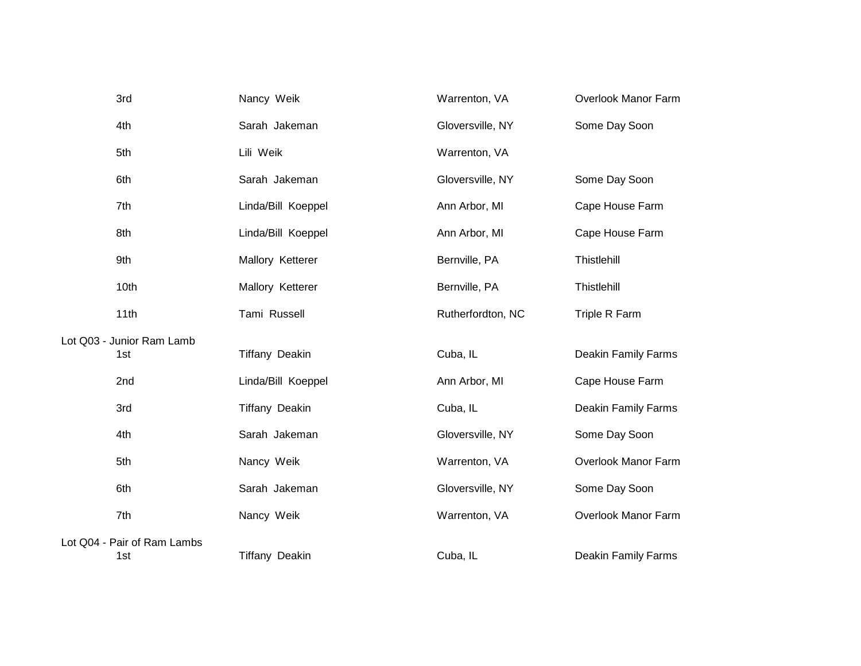| 3rd                         | Nancy Weik            | Warrenton, VA     | Overlook Manor Farm        |
|-----------------------------|-----------------------|-------------------|----------------------------|
| 4th                         | Sarah Jakeman         | Gloversville, NY  | Some Day Soon              |
| 5th                         | Lili Weik             | Warrenton, VA     |                            |
| 6th                         | Sarah Jakeman         | Gloversville, NY  | Some Day Soon              |
| 7th                         | Linda/Bill Koeppel    | Ann Arbor, MI     | Cape House Farm            |
| 8th                         | Linda/Bill Koeppel    | Ann Arbor, MI     | Cape House Farm            |
| 9th                         | Mallory Ketterer      | Bernville, PA     | Thistlehill                |
| 10th                        | Mallory Ketterer      | Bernville, PA     | Thistlehill                |
| 11th                        | Tami Russell          | Rutherfordton, NC | Triple R Farm              |
| Lot Q03 - Junior Ram Lamb   |                       |                   |                            |
| 1st                         | <b>Tiffany Deakin</b> | Cuba, IL          | <b>Deakin Family Farms</b> |
| 2nd                         | Linda/Bill Koeppel    | Ann Arbor, MI     | Cape House Farm            |
| 3rd                         | <b>Tiffany Deakin</b> | Cuba, IL          | <b>Deakin Family Farms</b> |
| 4th                         | Sarah Jakeman         | Gloversville, NY  | Some Day Soon              |
| 5th                         | Nancy Weik            | Warrenton, VA     | Overlook Manor Farm        |
| 6th                         | Sarah Jakeman         | Gloversville, NY  | Some Day Soon              |
| 7th                         | Nancy Weik            | Warrenton, VA     | Overlook Manor Farm        |
| Lot Q04 - Pair of Ram Lambs |                       |                   |                            |
| 1st                         | <b>Tiffany Deakin</b> | Cuba, IL          | Deakin Family Farms        |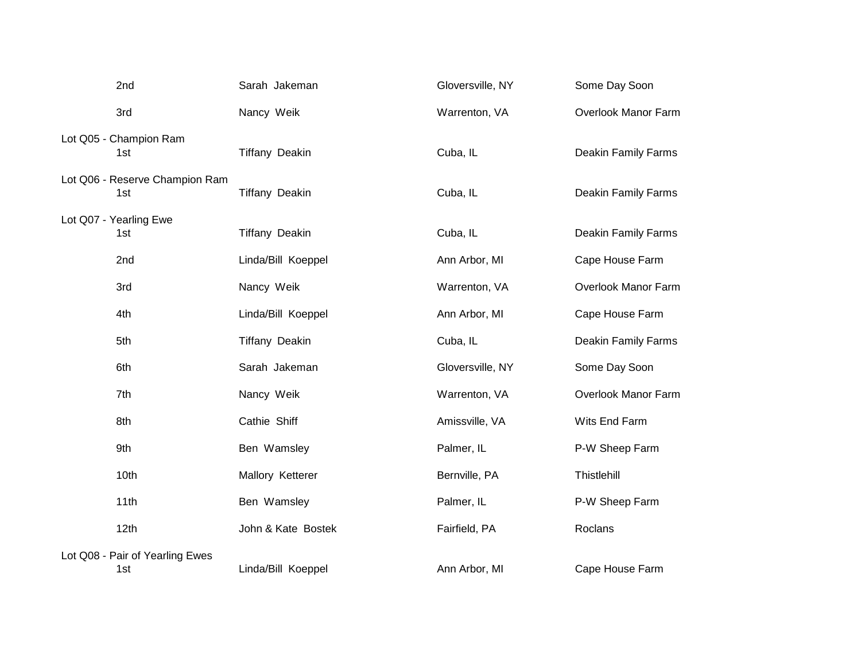| 2nd                                    | Sarah Jakeman         | Gloversville, NY | Some Day Soon              |
|----------------------------------------|-----------------------|------------------|----------------------------|
| 3rd                                    | Nancy Weik            | Warrenton, VA    | Overlook Manor Farm        |
| Lot Q05 - Champion Ram<br>1st          | <b>Tiffany Deakin</b> | Cuba, IL         | Deakin Family Farms        |
| Lot Q06 - Reserve Champion Ram<br>1st  | <b>Tiffany Deakin</b> | Cuba, IL         | Deakin Family Farms        |
| Lot Q07 - Yearling Ewe<br>1st          | <b>Tiffany Deakin</b> | Cuba, IL         | Deakin Family Farms        |
| 2 <sub>nd</sub>                        | Linda/Bill Koeppel    | Ann Arbor, MI    | Cape House Farm            |
| 3rd                                    | Nancy Weik            | Warrenton, VA    | Overlook Manor Farm        |
| 4th                                    | Linda/Bill Koeppel    | Ann Arbor, MI    | Cape House Farm            |
| 5th                                    | <b>Tiffany Deakin</b> | Cuba, IL         | <b>Deakin Family Farms</b> |
| 6th                                    | Sarah Jakeman         | Gloversville, NY | Some Day Soon              |
| 7th                                    | Nancy Weik            | Warrenton, VA    | Overlook Manor Farm        |
| 8th                                    | Cathie Shiff          | Amissville, VA   | Wits End Farm              |
| 9th                                    | Ben Wamsley           | Palmer, IL       | P-W Sheep Farm             |
| 10th                                   | Mallory Ketterer      | Bernville, PA    | Thistlehill                |
| 11th                                   | Ben Wamsley           | Palmer, IL       | P-W Sheep Farm             |
| 12th                                   | John & Kate Bostek    | Fairfield, PA    | Roclans                    |
| Lot Q08 - Pair of Yearling Ewes<br>1st | Linda/Bill Koeppel    | Ann Arbor, MI    | Cape House Farm            |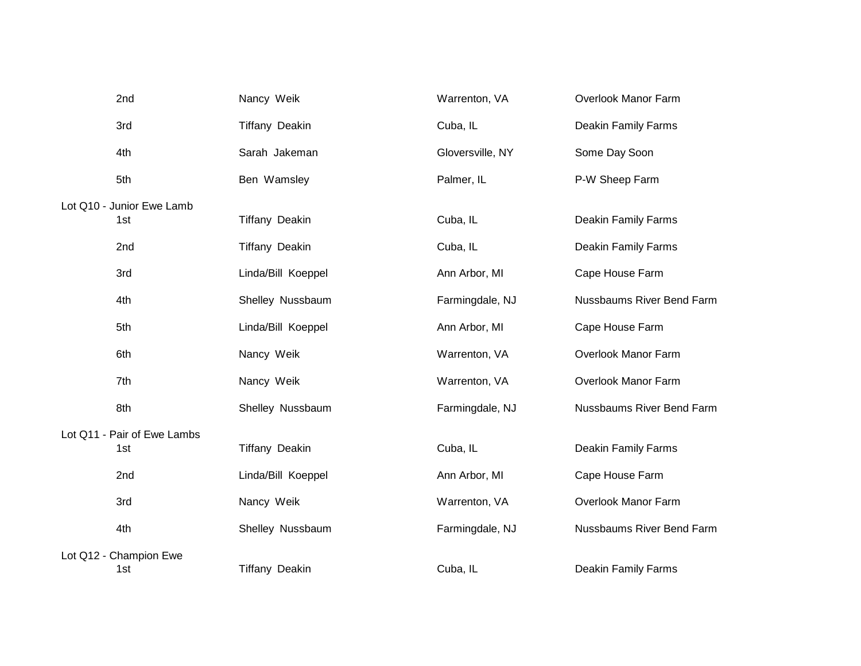| 2nd                         | Nancy Weik            | Warrenton, VA    | Overlook Manor Farm        |
|-----------------------------|-----------------------|------------------|----------------------------|
| 3rd                         | <b>Tiffany Deakin</b> | Cuba, IL         | Deakin Family Farms        |
| 4th                         | Sarah Jakeman         | Gloversville, NY | Some Day Soon              |
| 5th                         | Ben Wamsley           | Palmer, IL       | P-W Sheep Farm             |
| Lot Q10 - Junior Ewe Lamb   |                       |                  |                            |
| 1st                         | <b>Tiffany Deakin</b> | Cuba, IL         | Deakin Family Farms        |
| 2nd                         | <b>Tiffany Deakin</b> | Cuba, IL         | <b>Deakin Family Farms</b> |
| 3rd                         | Linda/Bill Koeppel    | Ann Arbor, MI    | Cape House Farm            |
| 4th                         | Shelley Nussbaum      | Farmingdale, NJ  | Nussbaums River Bend Farm  |
| 5th                         | Linda/Bill Koeppel    | Ann Arbor, MI    | Cape House Farm            |
| 6th                         | Nancy Weik            | Warrenton, VA    | Overlook Manor Farm        |
| 7th                         | Nancy Weik            | Warrenton, VA    | Overlook Manor Farm        |
| 8th                         | Shelley Nussbaum      | Farmingdale, NJ  | Nussbaums River Bend Farm  |
| Lot Q11 - Pair of Ewe Lambs |                       |                  |                            |
| 1st                         | <b>Tiffany Deakin</b> | Cuba, IL         | Deakin Family Farms        |
| 2nd                         | Linda/Bill Koeppel    | Ann Arbor, MI    | Cape House Farm            |
| 3rd                         | Nancy Weik            | Warrenton, VA    | Overlook Manor Farm        |
| 4th                         | Shelley Nussbaum      | Farmingdale, NJ  | Nussbaums River Bend Farm  |
| Lot Q12 - Champion Ewe      |                       |                  |                            |
| 1st                         | <b>Tiffany Deakin</b> | Cuba, IL         | Deakin Family Farms        |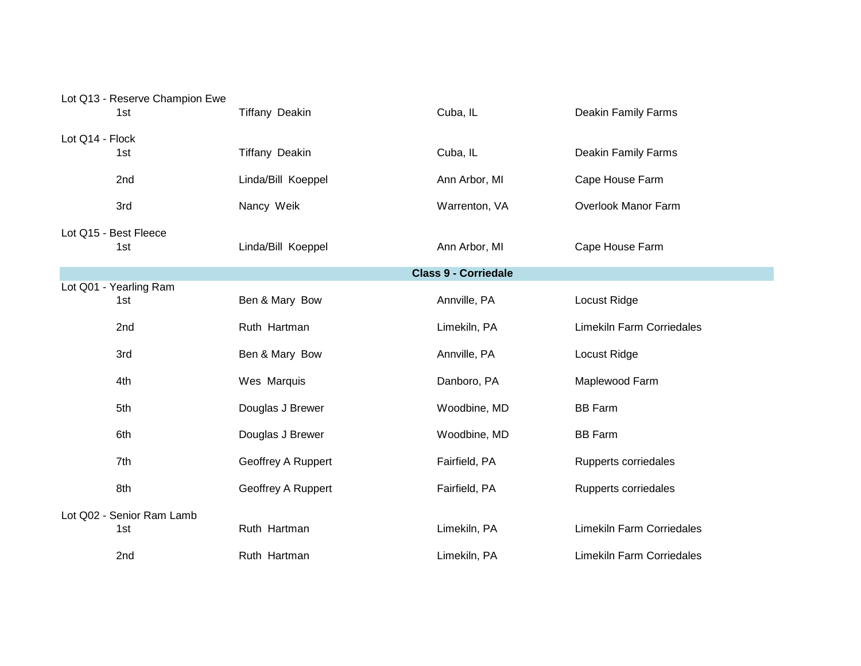|                 | Lot Q13 - Reserve Champion Ewe<br>1st | <b>Tiffany Deakin</b> | Cuba, IL                    | <b>Deakin Family Farms</b>       |
|-----------------|---------------------------------------|-----------------------|-----------------------------|----------------------------------|
| Lot Q14 - Flock |                                       |                       |                             |                                  |
|                 | 1st                                   | <b>Tiffany Deakin</b> | Cuba, IL                    | <b>Deakin Family Farms</b>       |
|                 | 2nd                                   | Linda/Bill Koeppel    | Ann Arbor, MI               | Cape House Farm                  |
|                 | 3rd                                   | Nancy Weik            | Warrenton, VA               | Overlook Manor Farm              |
|                 | Lot Q15 - Best Fleece<br>1st          | Linda/Bill Koeppel    | Ann Arbor, MI               | Cape House Farm                  |
|                 |                                       |                       | <b>Class 9 - Corriedale</b> |                                  |
|                 | Lot Q01 - Yearling Ram<br>1st         | Ben & Mary Bow        | Annville, PA                | Locust Ridge                     |
|                 | 2nd                                   | Ruth Hartman          | Limekiln, PA                | <b>Limekiln Farm Corriedales</b> |
|                 | 3rd                                   | Ben & Mary Bow        | Annville, PA                | Locust Ridge                     |
|                 | 4th                                   | Wes Marquis           | Danboro, PA                 | Maplewood Farm                   |
|                 | 5th                                   | Douglas J Brewer      | Woodbine, MD                | <b>BB Farm</b>                   |
|                 | 6th                                   | Douglas J Brewer      | Woodbine, MD                | <b>BB Farm</b>                   |
|                 | 7th                                   | Geoffrey A Ruppert    | Fairfield, PA               | Rupperts corriedales             |
|                 | 8th                                   | Geoffrey A Ruppert    | Fairfield, PA               | Rupperts corriedales             |
|                 | Lot Q02 - Senior Ram Lamb<br>1st      | Ruth Hartman          | Limekiln, PA                | <b>Limekiln Farm Corriedales</b> |
|                 | 2nd                                   | Ruth Hartman          | Limekiln, PA                | <b>Limekiln Farm Corriedales</b> |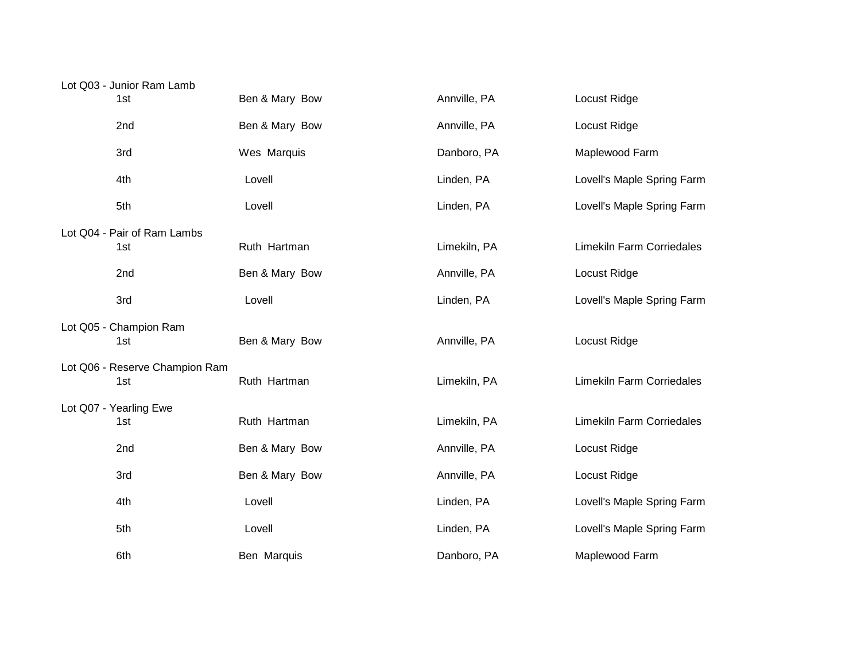| Lot Q03 - Junior Ram Lamb             |                |              |                                  |
|---------------------------------------|----------------|--------------|----------------------------------|
| 1st                                   | Ben & Mary Bow | Annville, PA | Locust Ridge                     |
| 2nd                                   | Ben & Mary Bow | Annville, PA | Locust Ridge                     |
| 3rd                                   | Wes Marquis    | Danboro, PA  | Maplewood Farm                   |
| 4th                                   | Lovell         | Linden, PA   | Lovell's Maple Spring Farm       |
| 5th                                   | Lovell         | Linden, PA   | Lovell's Maple Spring Farm       |
| Lot Q04 - Pair of Ram Lambs           |                |              |                                  |
| 1st                                   | Ruth Hartman   | Limekiln, PA | <b>Limekiln Farm Corriedales</b> |
| 2nd                                   | Ben & Mary Bow | Annville, PA | Locust Ridge                     |
| 3rd                                   | Lovell         | Linden, PA   | Lovell's Maple Spring Farm       |
|                                       |                |              |                                  |
| Lot Q05 - Champion Ram<br>1st         | Ben & Mary Bow | Annville, PA | Locust Ridge                     |
|                                       |                |              |                                  |
| Lot Q06 - Reserve Champion Ram<br>1st | Ruth Hartman   | Limekiln, PA | <b>Limekiln Farm Corriedales</b> |
| Lot Q07 - Yearling Ewe                |                |              |                                  |
| 1st                                   | Ruth Hartman   | Limekiln, PA | <b>Limekiln Farm Corriedales</b> |
| 2nd                                   | Ben & Mary Bow | Annville, PA | Locust Ridge                     |
| 3rd                                   | Ben & Mary Bow | Annville, PA | Locust Ridge                     |
| 4th                                   | Lovell         | Linden, PA   | Lovell's Maple Spring Farm       |
| 5th                                   | Lovell         | Linden, PA   | Lovell's Maple Spring Farm       |
| 6th                                   | Ben Marquis    | Danboro, PA  | Maplewood Farm                   |
|                                       |                |              |                                  |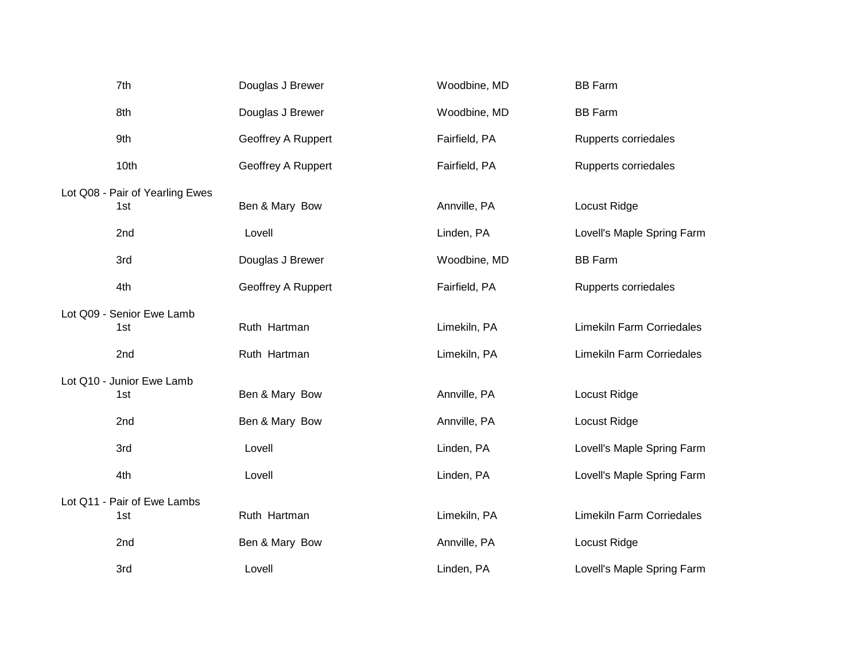| 7th                             | Douglas J Brewer   | Woodbine, MD  | <b>BB Farm</b>                   |
|---------------------------------|--------------------|---------------|----------------------------------|
| 8th                             | Douglas J Brewer   | Woodbine, MD  | <b>BB Farm</b>                   |
| 9th                             | Geoffrey A Ruppert | Fairfield, PA | Rupperts corriedales             |
| 10th                            | Geoffrey A Ruppert | Fairfield, PA | Rupperts corriedales             |
| Lot Q08 - Pair of Yearling Ewes |                    |               |                                  |
| 1st                             | Ben & Mary Bow     | Annville, PA  | Locust Ridge                     |
| 2nd                             | Lovell             | Linden, PA    | Lovell's Maple Spring Farm       |
| 3rd                             | Douglas J Brewer   | Woodbine, MD  | <b>BB Farm</b>                   |
| 4th                             | Geoffrey A Ruppert | Fairfield, PA | Rupperts corriedales             |
| Lot Q09 - Senior Ewe Lamb       |                    |               |                                  |
| 1st                             | Ruth Hartman       | Limekiln, PA  | <b>Limekiln Farm Corriedales</b> |
| 2nd                             | Ruth Hartman       | Limekiln, PA  | <b>Limekiln Farm Corriedales</b> |
| Lot Q10 - Junior Ewe Lamb       |                    |               |                                  |
| 1st                             | Ben & Mary Bow     | Annville, PA  | Locust Ridge                     |
| 2nd                             | Ben & Mary Bow     | Annville, PA  | Locust Ridge                     |
| 3rd                             | Lovell             | Linden, PA    | Lovell's Maple Spring Farm       |
| 4th                             | Lovell             | Linden, PA    | Lovell's Maple Spring Farm       |
| Lot Q11 - Pair of Ewe Lambs     |                    |               |                                  |
| 1st                             | Ruth Hartman       | Limekiln, PA  | Limekiln Farm Corriedales        |
| 2nd                             | Ben & Mary Bow     | Annville, PA  | Locust Ridge                     |
| 3rd                             | Lovell             | Linden, PA    | Lovell's Maple Spring Farm       |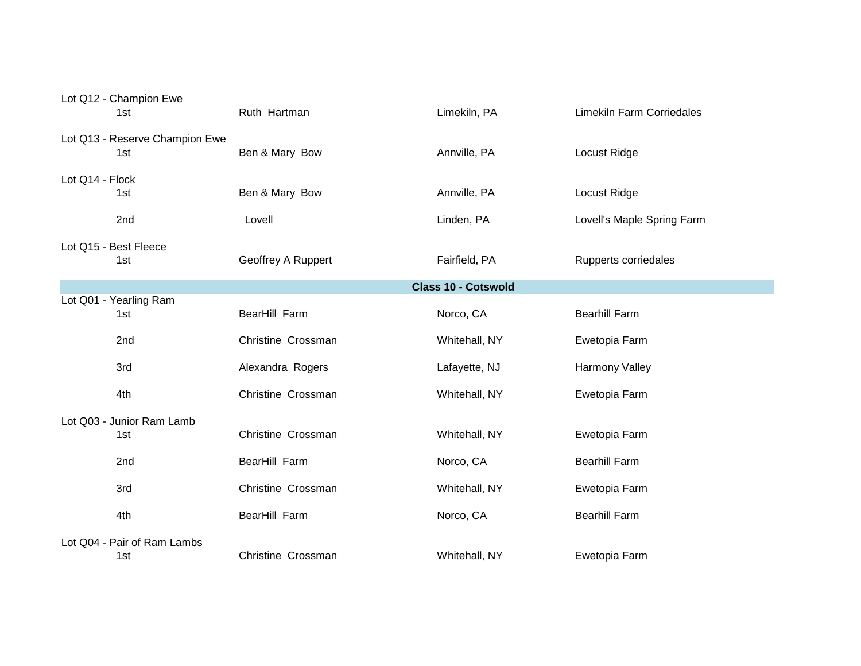|                 | Lot Q12 - Champion Ewe<br>1st         | Ruth Hartman       | Limekiln, PA               | <b>Limekiln Farm Corriedales</b> |
|-----------------|---------------------------------------|--------------------|----------------------------|----------------------------------|
|                 | Lot Q13 - Reserve Champion Ewe<br>1st | Ben & Mary Bow     | Annville, PA               | Locust Ridge                     |
| Lot Q14 - Flock | 1st                                   | Ben & Mary Bow     | Annville, PA               | Locust Ridge                     |
|                 | 2nd                                   | Lovell             | Linden, PA                 | Lovell's Maple Spring Farm       |
|                 | Lot Q15 - Best Fleece<br>1st          | Geoffrey A Ruppert | Fairfield, PA              | Rupperts corriedales             |
|                 |                                       |                    | <b>Class 10 - Cotswold</b> |                                  |
|                 | Lot Q01 - Yearling Ram<br>1st         | BearHill Farm      | Norco, CA                  | <b>Bearhill Farm</b>             |
|                 | 2nd                                   | Christine Crossman | Whitehall, NY              | Ewetopia Farm                    |
|                 | 3rd                                   | Alexandra Rogers   | Lafayette, NJ              | <b>Harmony Valley</b>            |
|                 | 4th                                   | Christine Crossman | Whitehall, NY              | Ewetopia Farm                    |
|                 | Lot Q03 - Junior Ram Lamb             |                    |                            |                                  |
|                 | 1st                                   | Christine Crossman | Whitehall, NY              | Ewetopia Farm                    |
|                 | 2nd                                   | BearHill Farm      | Norco, CA                  | <b>Bearhill Farm</b>             |
|                 | 3rd                                   | Christine Crossman | Whitehall, NY              | Ewetopia Farm                    |
|                 | 4th                                   | BearHill Farm      | Norco, CA                  | <b>Bearhill Farm</b>             |
|                 | Lot Q04 - Pair of Ram Lambs<br>1st    | Christine Crossman | Whitehall, NY              | Ewetopia Farm                    |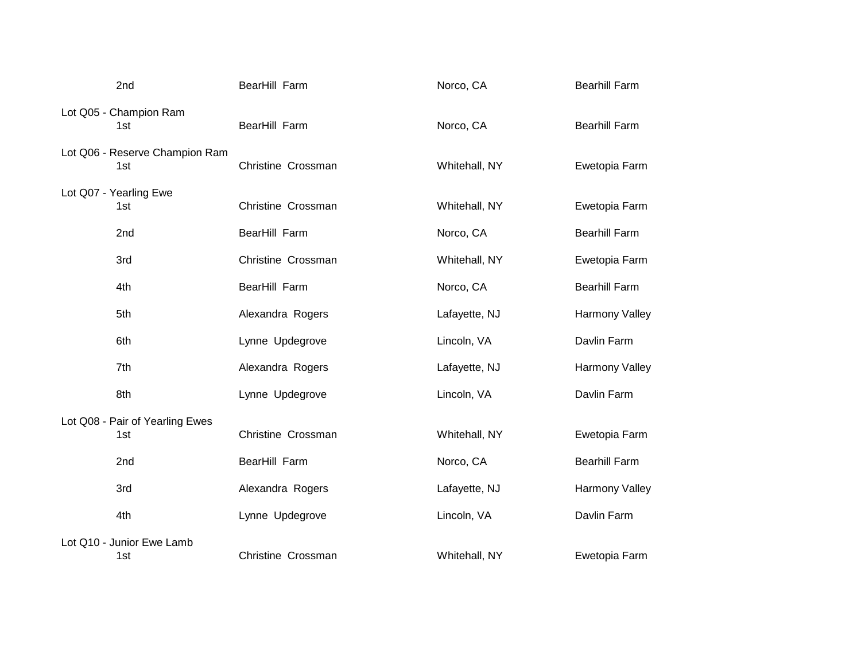| 2nd                                    | BearHill Farm      | Norco, CA     | <b>Bearhill Farm</b> |
|----------------------------------------|--------------------|---------------|----------------------|
| Lot Q05 - Champion Ram<br>1st          | BearHill Farm      | Norco, CA     | <b>Bearhill Farm</b> |
| Lot Q06 - Reserve Champion Ram<br>1st  | Christine Crossman | Whitehall, NY | Ewetopia Farm        |
| Lot Q07 - Yearling Ewe<br>1st          | Christine Crossman | Whitehall, NY | Ewetopia Farm        |
| 2nd                                    | BearHill Farm      | Norco, CA     | <b>Bearhill Farm</b> |
| 3rd                                    | Christine Crossman | Whitehall, NY | Ewetopia Farm        |
| 4th                                    | BearHill Farm      | Norco, CA     | <b>Bearhill Farm</b> |
| 5th                                    | Alexandra Rogers   | Lafayette, NJ | Harmony Valley       |
| 6th                                    | Lynne Updegrove    | Lincoln, VA   | Davlin Farm          |
| 7th                                    | Alexandra Rogers   | Lafayette, NJ | Harmony Valley       |
| 8th                                    | Lynne Updegrove    | Lincoln, VA   | Davlin Farm          |
| Lot Q08 - Pair of Yearling Ewes<br>1st | Christine Crossman | Whitehall, NY | Ewetopia Farm        |
| 2nd                                    | BearHill Farm      | Norco, CA     | <b>Bearhill Farm</b> |
| 3rd                                    | Alexandra Rogers   | Lafayette, NJ | Harmony Valley       |
| 4th                                    | Lynne Updegrove    | Lincoln, VA   | Davlin Farm          |
| Lot Q10 - Junior Ewe Lamb<br>1st       | Christine Crossman | Whitehall, NY | Ewetopia Farm        |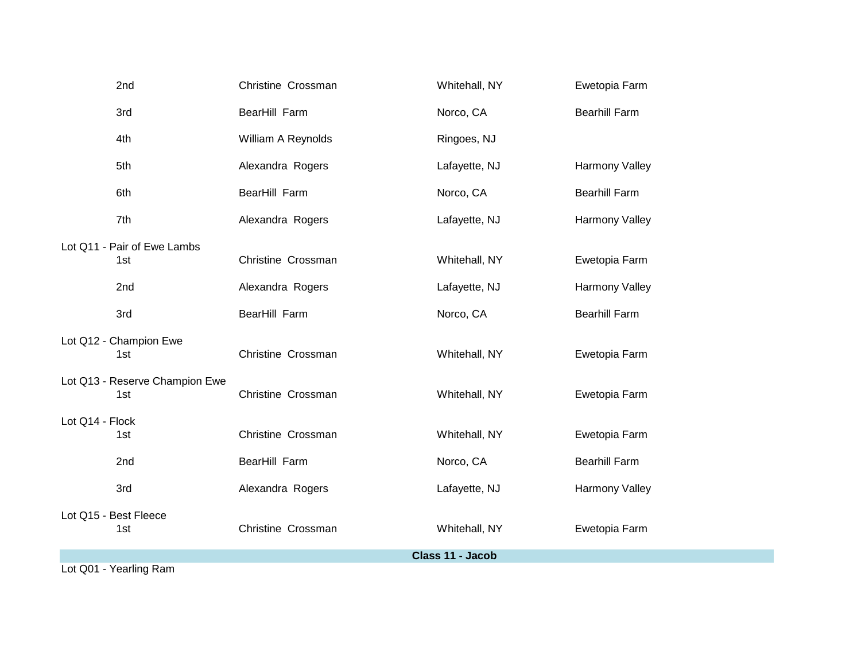| 2nd                                   | Christine Crossman | Whitehall, NY    | Ewetopia Farm        |
|---------------------------------------|--------------------|------------------|----------------------|
| 3rd                                   | BearHill Farm      | Norco, CA        | <b>Bearhill Farm</b> |
| 4th                                   | William A Reynolds | Ringoes, NJ      |                      |
| 5th                                   | Alexandra Rogers   | Lafayette, NJ    | Harmony Valley       |
| 6th                                   | BearHill Farm      | Norco, CA        | <b>Bearhill Farm</b> |
| 7th                                   | Alexandra Rogers   | Lafayette, NJ    | Harmony Valley       |
| Lot Q11 - Pair of Ewe Lambs<br>1st    | Christine Crossman | Whitehall, NY    | Ewetopia Farm        |
| 2 <sub>nd</sub>                       | Alexandra Rogers   | Lafayette, NJ    | Harmony Valley       |
| 3rd                                   | BearHill Farm      | Norco, CA        | <b>Bearhill Farm</b> |
| Lot Q12 - Champion Ewe<br>1st         | Christine Crossman | Whitehall, NY    | Ewetopia Farm        |
| Lot Q13 - Reserve Champion Ewe<br>1st | Christine Crossman | Whitehall, NY    | Ewetopia Farm        |
| Lot Q14 - Flock<br>1st                | Christine Crossman | Whitehall, NY    | Ewetopia Farm        |
| 2nd                                   | BearHill Farm      | Norco, CA        | <b>Bearhill Farm</b> |
| 3rd                                   | Alexandra Rogers   | Lafayette, NJ    | Harmony Valley       |
| Lot Q15 - Best Fleece<br>1st          | Christine Crossman | Whitehall, NY    | Ewetopia Farm        |
|                                       |                    | Class 11 - Jacob |                      |
| Lot Q01 - Yearling Ram                |                    |                  |                      |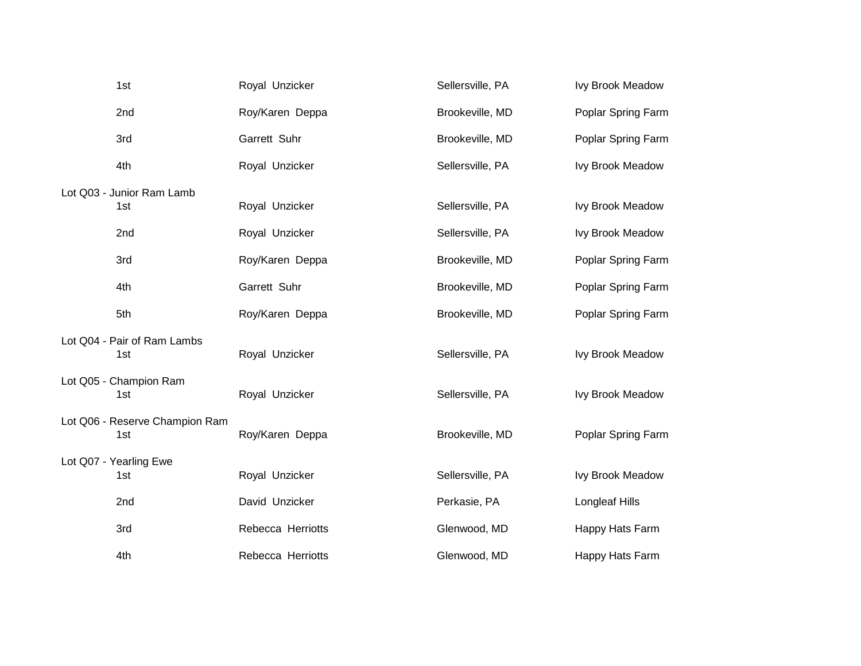| 1st                         |                                | Royal Unzicker    | Sellersville, PA | Ivy Brook Meadow        |
|-----------------------------|--------------------------------|-------------------|------------------|-------------------------|
| 2nd                         |                                | Roy/Karen Deppa   | Brookeville, MD  | Poplar Spring Farm      |
| 3rd                         |                                | Garrett Suhr      | Brookeville, MD  | Poplar Spring Farm      |
| 4th                         |                                | Royal Unzicker    | Sellersville, PA | Ivy Brook Meadow        |
| Lot Q03 - Junior Ram Lamb   |                                |                   |                  |                         |
| 1st                         |                                | Royal Unzicker    | Sellersville, PA | <b>Ivy Brook Meadow</b> |
| 2nd                         |                                | Royal Unzicker    | Sellersville, PA | Ivy Brook Meadow        |
| 3rd                         |                                | Roy/Karen Deppa   | Brookeville, MD  | Poplar Spring Farm      |
| 4th                         |                                | Garrett Suhr      | Brookeville, MD  | Poplar Spring Farm      |
| 5th                         |                                | Roy/Karen Deppa   | Brookeville, MD  | Poplar Spring Farm      |
| Lot Q04 - Pair of Ram Lambs |                                |                   |                  |                         |
| 1st                         |                                | Royal Unzicker    | Sellersville, PA | Ivy Brook Meadow        |
| Lot Q05 - Champion Ram      |                                |                   |                  |                         |
| 1st                         |                                | Royal Unzicker    | Sellersville, PA | <b>Ivy Brook Meadow</b> |
|                             | Lot Q06 - Reserve Champion Ram |                   |                  |                         |
| 1st                         |                                | Roy/Karen Deppa   | Brookeville, MD  | Poplar Spring Farm      |
| Lot Q07 - Yearling Ewe      |                                |                   |                  |                         |
| 1st                         |                                | Royal Unzicker    | Sellersville, PA | Ivy Brook Meadow        |
| 2nd                         |                                | David Unzicker    | Perkasie, PA     | <b>Longleaf Hills</b>   |
| 3rd                         |                                | Rebecca Herriotts | Glenwood, MD     | Happy Hats Farm         |
| 4th                         |                                | Rebecca Herriotts | Glenwood, MD     | Happy Hats Farm         |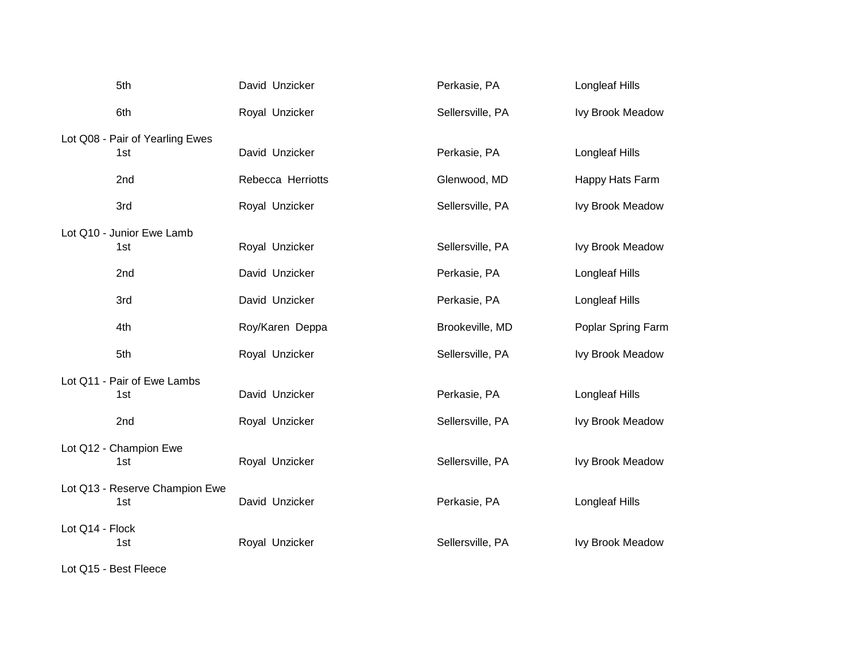|                 | 5th                             | David Unzicker    | Perkasie, PA     | Longleaf Hills          |
|-----------------|---------------------------------|-------------------|------------------|-------------------------|
|                 | 6th                             | Royal Unzicker    | Sellersville, PA | Ivy Brook Meadow        |
|                 | Lot Q08 - Pair of Yearling Ewes |                   |                  |                         |
|                 | 1st                             | David Unzicker    | Perkasie, PA     | <b>Longleaf Hills</b>   |
|                 | 2nd                             | Rebecca Herriotts | Glenwood, MD     | Happy Hats Farm         |
|                 | 3rd                             | Royal Unzicker    | Sellersville, PA | Ivy Brook Meadow        |
|                 | Lot Q10 - Junior Ewe Lamb       |                   |                  |                         |
|                 | 1st                             | Royal Unzicker    | Sellersville, PA | Ivy Brook Meadow        |
|                 | 2nd                             | David Unzicker    | Perkasie, PA     | <b>Longleaf Hills</b>   |
|                 | 3rd                             | David Unzicker    | Perkasie, PA     | Longleaf Hills          |
|                 | 4th                             | Roy/Karen Deppa   | Brookeville, MD  | Poplar Spring Farm      |
|                 | 5th                             | Royal Unzicker    | Sellersville, PA | Ivy Brook Meadow        |
|                 | Lot Q11 - Pair of Ewe Lambs     |                   |                  |                         |
|                 | 1st                             | David Unzicker    | Perkasie, PA     | <b>Longleaf Hills</b>   |
|                 | 2nd                             | Royal Unzicker    | Sellersville, PA | <b>Ivy Brook Meadow</b> |
|                 | Lot Q12 - Champion Ewe          |                   |                  |                         |
|                 | 1st                             | Royal Unzicker    | Sellersville, PA | <b>Ivy Brook Meadow</b> |
|                 | Lot Q13 - Reserve Champion Ewe  |                   |                  |                         |
|                 | 1st                             | David Unzicker    | Perkasie, PA     | Longleaf Hills          |
| Lot Q14 - Flock |                                 |                   |                  |                         |
|                 | 1st                             | Royal Unzicker    | Sellersville, PA | Ivy Brook Meadow        |
|                 |                                 |                   |                  |                         |

Lot Q15 - Best Fleece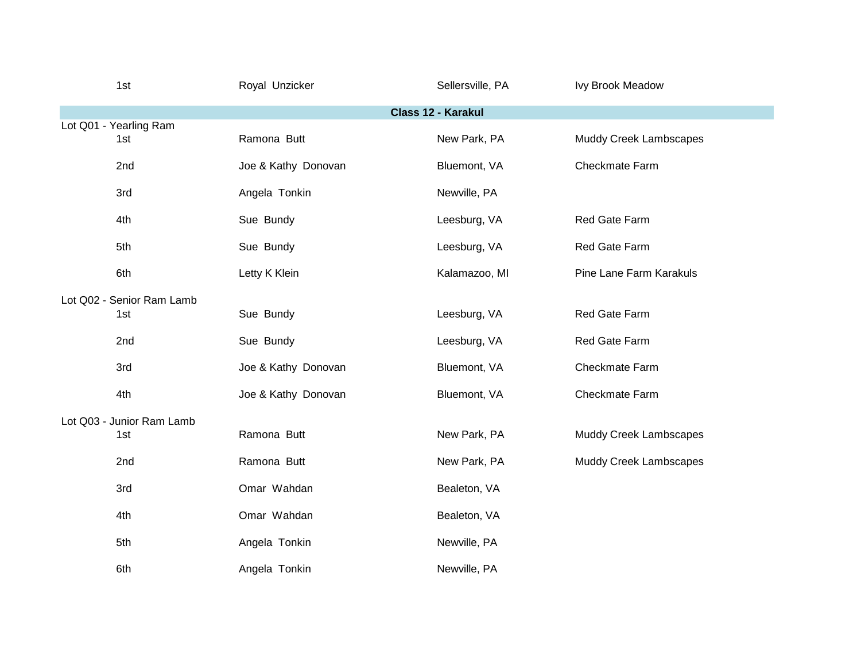| 1st                              | Royal Unzicker      | Sellersville, PA   | <b>Ivy Brook Meadow</b>       |
|----------------------------------|---------------------|--------------------|-------------------------------|
|                                  |                     | Class 12 - Karakul |                               |
| Lot Q01 - Yearling Ram<br>1st    | Ramona Butt         | New Park, PA       | <b>Muddy Creek Lambscapes</b> |
| 2nd                              | Joe & Kathy Donovan | Bluemont, VA       | Checkmate Farm                |
| 3rd                              | Angela Tonkin       | Newville, PA       |                               |
| 4th                              | Sue Bundy           | Leesburg, VA       | Red Gate Farm                 |
| 5th                              | Sue Bundy           | Leesburg, VA       | Red Gate Farm                 |
| 6th                              | Letty K Klein       | Kalamazoo, MI      | Pine Lane Farm Karakuls       |
| Lot Q02 - Senior Ram Lamb<br>1st | Sue Bundy           | Leesburg, VA       | Red Gate Farm                 |
| 2nd                              | Sue Bundy           | Leesburg, VA       | Red Gate Farm                 |
| 3rd                              | Joe & Kathy Donovan | Bluemont, VA       | Checkmate Farm                |
| 4th                              | Joe & Kathy Donovan | Bluemont, VA       | Checkmate Farm                |
| Lot Q03 - Junior Ram Lamb<br>1st | Ramona Butt         | New Park, PA       | Muddy Creek Lambscapes        |
| 2nd                              | Ramona Butt         | New Park, PA       | <b>Muddy Creek Lambscapes</b> |
| 3rd                              | Omar Wahdan         | Bealeton, VA       |                               |
| 4th                              | Omar Wahdan         | Bealeton, VA       |                               |
| 5th                              | Angela Tonkin       | Newville, PA       |                               |
| 6th                              | Angela Tonkin       | Newville, PA       |                               |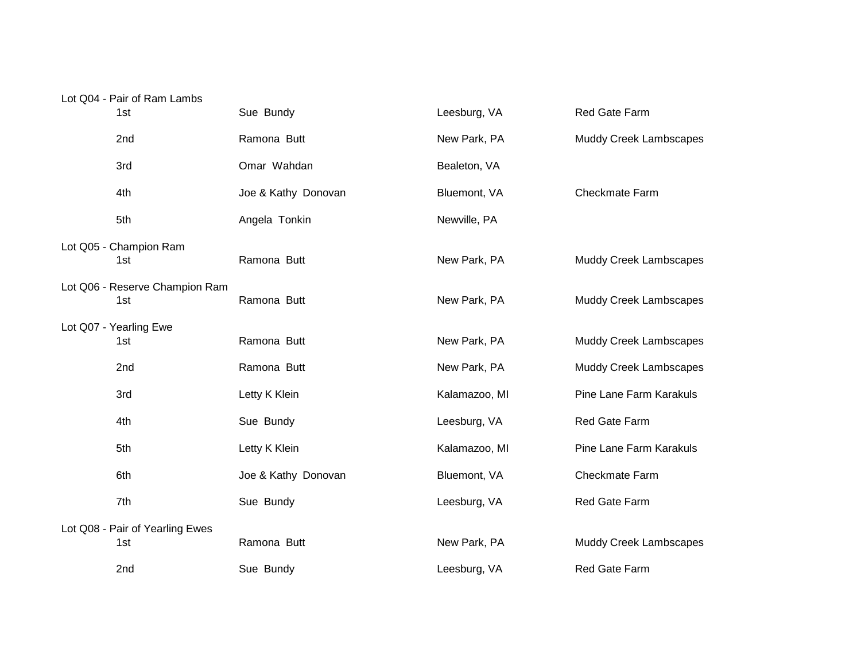## Lot Q04 - Pair of Ram Lambs

| 1st                                    | Sue Bundy           | Leesburg, VA  | Red Gate Farm                  |
|----------------------------------------|---------------------|---------------|--------------------------------|
| 2nd                                    | Ramona Butt         | New Park, PA  | <b>Muddy Creek Lambscapes</b>  |
| 3rd                                    | Omar Wahdan         | Bealeton, VA  |                                |
| 4th                                    | Joe & Kathy Donovan | Bluemont, VA  | Checkmate Farm                 |
| 5th                                    | Angela Tonkin       | Newville, PA  |                                |
| Lot Q05 - Champion Ram<br>1st          | Ramona Butt         | New Park, PA  | <b>Muddy Creek Lambscapes</b>  |
| Lot Q06 - Reserve Champion Ram<br>1st  | Ramona Butt         | New Park, PA  | <b>Muddy Creek Lambscapes</b>  |
| Lot Q07 - Yearling Ewe<br>1st          | Ramona Butt         | New Park, PA  | <b>Muddy Creek Lambscapes</b>  |
| 2nd                                    | Ramona Butt         | New Park, PA  | <b>Muddy Creek Lambscapes</b>  |
| 3rd                                    | Letty K Klein       | Kalamazoo, MI | Pine Lane Farm Karakuls        |
| 4th                                    | Sue Bundy           | Leesburg, VA  | Red Gate Farm                  |
| 5th                                    | Letty K Klein       | Kalamazoo, MI | <b>Pine Lane Farm Karakuls</b> |
| 6th                                    | Joe & Kathy Donovan | Bluemont, VA  | Checkmate Farm                 |
| 7th                                    | Sue Bundy           | Leesburg, VA  | Red Gate Farm                  |
| Lot Q08 - Pair of Yearling Ewes<br>1st | Ramona Butt         | New Park, PA  | <b>Muddy Creek Lambscapes</b>  |
| 2nd                                    | Sue Bundy           | Leesburg, VA  | Red Gate Farm                  |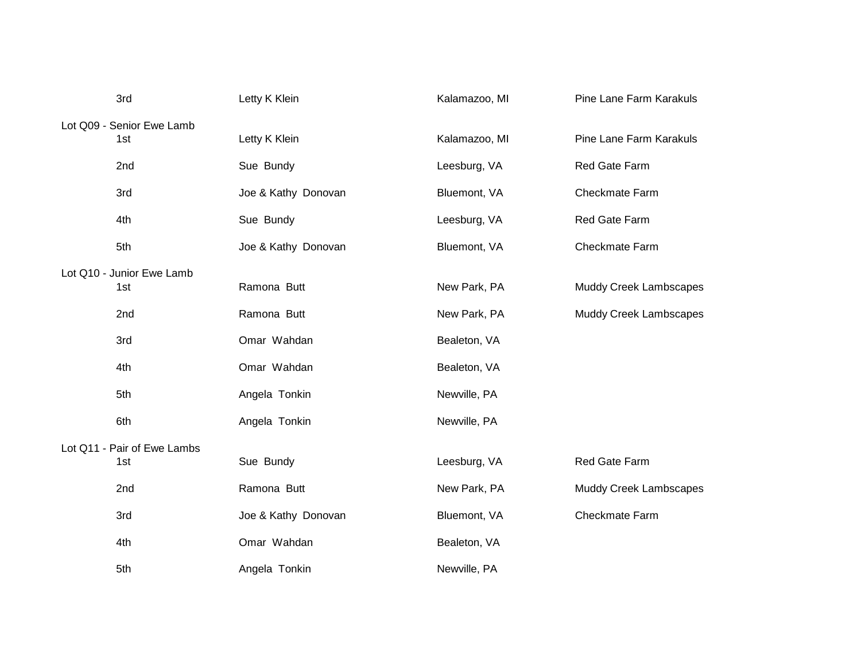| 3rd                         | Letty K Klein       | Kalamazoo, MI | Pine Lane Farm Karakuls       |
|-----------------------------|---------------------|---------------|-------------------------------|
| Lot Q09 - Senior Ewe Lamb   |                     |               |                               |
| 1st                         | Letty K Klein       | Kalamazoo, MI | Pine Lane Farm Karakuls       |
| 2nd                         | Sue Bundy           | Leesburg, VA  | Red Gate Farm                 |
| 3rd                         | Joe & Kathy Donovan | Bluemont, VA  | Checkmate Farm                |
| 4th                         | Sue Bundy           | Leesburg, VA  | Red Gate Farm                 |
| 5th                         | Joe & Kathy Donovan | Bluemont, VA  | Checkmate Farm                |
| Lot Q10 - Junior Ewe Lamb   |                     |               |                               |
| 1st                         | Ramona Butt         | New Park, PA  | Muddy Creek Lambscapes        |
| 2nd                         | Ramona Butt         | New Park, PA  | <b>Muddy Creek Lambscapes</b> |
| 3rd                         | Omar Wahdan         | Bealeton, VA  |                               |
| 4th                         | Omar Wahdan         | Bealeton, VA  |                               |
| 5th                         | Angela Tonkin       | Newville, PA  |                               |
| 6th                         | Angela Tonkin       | Newville, PA  |                               |
| Lot Q11 - Pair of Ewe Lambs |                     |               |                               |
| 1st                         | Sue Bundy           | Leesburg, VA  | Red Gate Farm                 |
| 2nd                         | Ramona Butt         | New Park, PA  | <b>Muddy Creek Lambscapes</b> |
| 3rd                         | Joe & Kathy Donovan | Bluemont, VA  | Checkmate Farm                |
| 4th                         | Omar Wahdan         | Bealeton, VA  |                               |
| 5th                         | Angela Tonkin       | Newville, PA  |                               |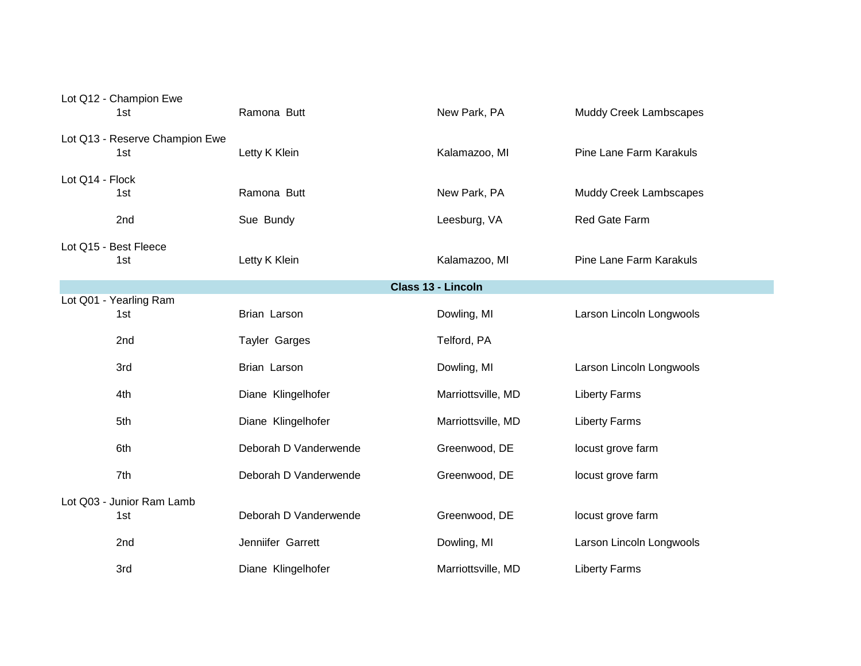|                    | Lot Q12 - Champion Ewe<br>1st         | Ramona Butt           | New Park, PA       | <b>Muddy Creek Lambscapes</b> |
|--------------------|---------------------------------------|-----------------------|--------------------|-------------------------------|
|                    | Lot Q13 - Reserve Champion Ewe<br>1st | Letty K Klein         | Kalamazoo, MI      | Pine Lane Farm Karakuls       |
| Lot Q14 - Flock    | 1st                                   | Ramona Butt           | New Park, PA       | Muddy Creek Lambscapes        |
|                    | 2nd                                   | Sue Bundy             | Leesburg, VA       | Red Gate Farm                 |
|                    | Lot Q15 - Best Fleece<br>1st          | Letty K Klein         | Kalamazoo, MI      | Pine Lane Farm Karakuls       |
| Class 13 - Lincoln |                                       |                       |                    |                               |
|                    | Lot Q01 - Yearling Ram<br>1st         | Brian Larson          | Dowling, MI        | Larson Lincoln Longwools      |
|                    | 2nd                                   | <b>Tayler Garges</b>  | Telford, PA        |                               |
|                    | 3rd                                   | Brian Larson          | Dowling, MI        | Larson Lincoln Longwools      |
|                    | 4th                                   | Diane Klingelhofer    | Marriottsville, MD | <b>Liberty Farms</b>          |
|                    | 5th                                   | Diane Klingelhofer    | Marriottsville, MD | <b>Liberty Farms</b>          |
|                    | 6th                                   | Deborah D Vanderwende | Greenwood, DE      | locust grove farm             |
|                    | 7th                                   | Deborah D Vanderwende | Greenwood, DE      | locust grove farm             |
|                    | Lot Q03 - Junior Ram Lamb<br>1st      | Deborah D Vanderwende | Greenwood, DE      | locust grove farm             |
|                    | 2nd                                   | Jenniifer Garrett     | Dowling, MI        | Larson Lincoln Longwools      |
|                    | 3rd                                   | Diane Klingelhofer    | Marriottsville, MD | <b>Liberty Farms</b>          |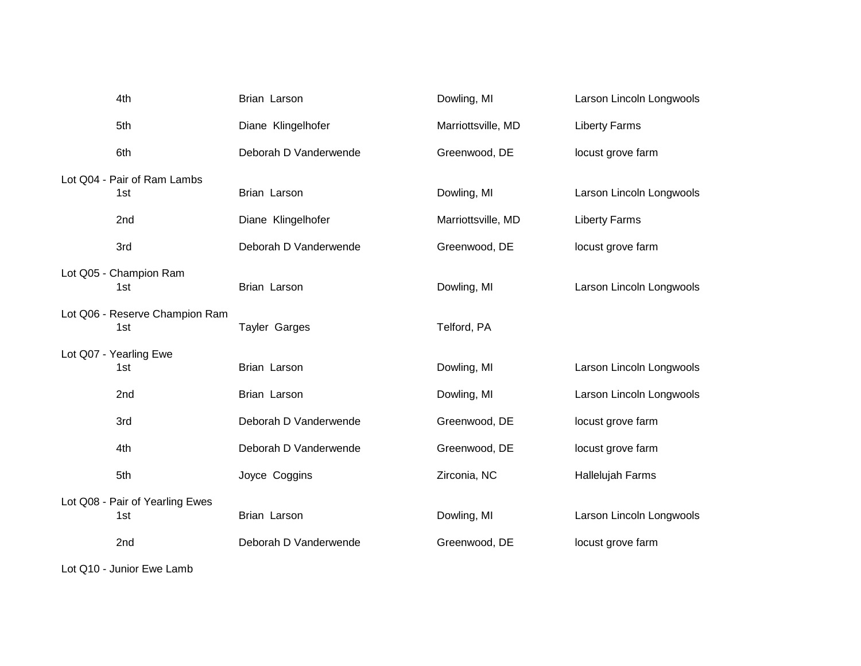| 4th                                    | Brian Larson          | Dowling, MI        | Larson Lincoln Longwools |
|----------------------------------------|-----------------------|--------------------|--------------------------|
| 5th                                    | Diane Klingelhofer    | Marriottsville, MD | <b>Liberty Farms</b>     |
| 6th                                    | Deborah D Vanderwende | Greenwood, DE      | locust grove farm        |
| Lot Q04 - Pair of Ram Lambs<br>1st     | Brian Larson          | Dowling, MI        | Larson Lincoln Longwools |
| 2nd                                    | Diane Klingelhofer    | Marriottsville, MD | <b>Liberty Farms</b>     |
| 3rd                                    | Deborah D Vanderwende | Greenwood, DE      | locust grove farm        |
| Lot Q05 - Champion Ram<br>1st          | Brian Larson          | Dowling, MI        | Larson Lincoln Longwools |
| Lot Q06 - Reserve Champion Ram<br>1st  | <b>Tayler Garges</b>  | Telford, PA        |                          |
| Lot Q07 - Yearling Ewe<br>1st          | Brian Larson          | Dowling, MI        | Larson Lincoln Longwools |
| 2nd                                    | Brian Larson          | Dowling, MI        | Larson Lincoln Longwools |
| 3rd                                    | Deborah D Vanderwende | Greenwood, DE      | locust grove farm        |
| 4th                                    | Deborah D Vanderwende | Greenwood, DE      | locust grove farm        |
| 5th                                    | Joyce Coggins         | Zirconia, NC       | Hallelujah Farms         |
| Lot Q08 - Pair of Yearling Ewes<br>1st | Brian Larson          | Dowling, MI        | Larson Lincoln Longwools |
| 2nd                                    | Deborah D Vanderwende | Greenwood, DE      | locust grove farm        |

Lot Q10 - Junior Ewe Lamb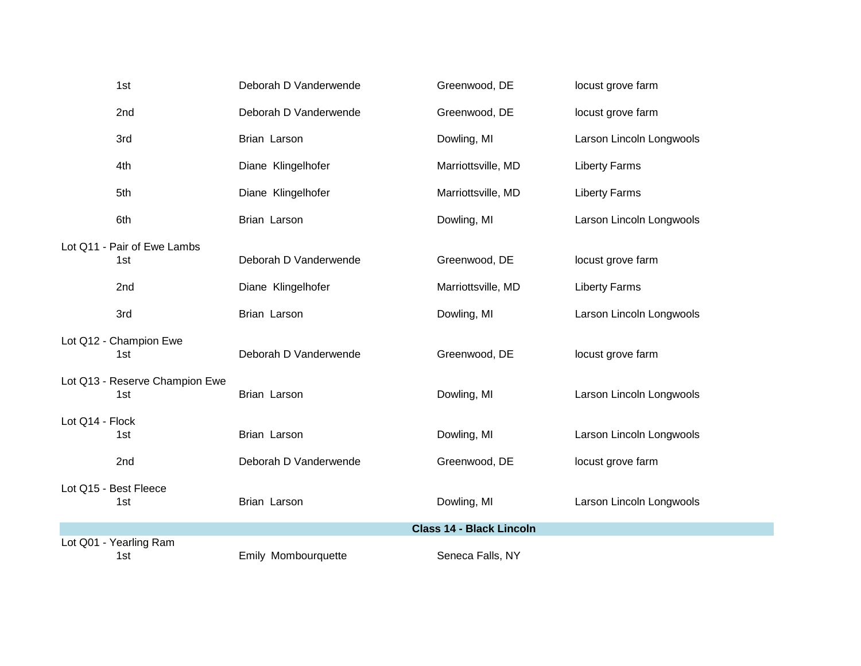|                 | 1st                                   | Deborah D Vanderwende | Greenwood, DE                   | locust grove farm        |
|-----------------|---------------------------------------|-----------------------|---------------------------------|--------------------------|
|                 | 2nd                                   | Deborah D Vanderwende | Greenwood, DE                   | locust grove farm        |
|                 | 3rd                                   | Brian Larson          | Dowling, MI                     | Larson Lincoln Longwools |
|                 | 4th                                   | Diane Klingelhofer    | Marriottsville, MD              | <b>Liberty Farms</b>     |
|                 | 5th                                   | Diane Klingelhofer    | Marriottsville, MD              | <b>Liberty Farms</b>     |
|                 | 6th                                   | Brian Larson          | Dowling, MI                     | Larson Lincoln Longwools |
|                 | Lot Q11 - Pair of Ewe Lambs<br>1st    | Deborah D Vanderwende | Greenwood, DE                   | locust grove farm        |
|                 | 2nd                                   | Diane Klingelhofer    | Marriottsville, MD              | <b>Liberty Farms</b>     |
|                 | 3rd                                   | Brian Larson          | Dowling, MI                     | Larson Lincoln Longwools |
|                 | Lot Q12 - Champion Ewe<br>1st         | Deborah D Vanderwende | Greenwood, DE                   | locust grove farm        |
|                 | Lot Q13 - Reserve Champion Ewe<br>1st | Brian Larson          | Dowling, MI                     | Larson Lincoln Longwools |
| Lot Q14 - Flock | 1st                                   | Brian Larson          | Dowling, MI                     | Larson Lincoln Longwools |
|                 | 2nd                                   | Deborah D Vanderwende | Greenwood, DE                   | locust grove farm        |
|                 | Lot Q15 - Best Fleece<br>1st          | Brian Larson          | Dowling, MI                     | Larson Lincoln Longwools |
|                 |                                       |                       | <b>Class 14 - Black Lincoln</b> |                          |
|                 | Lot Q01 - Yearling Ram<br>1st         | Emily Mombourquette   | Seneca Falls, NY                |                          |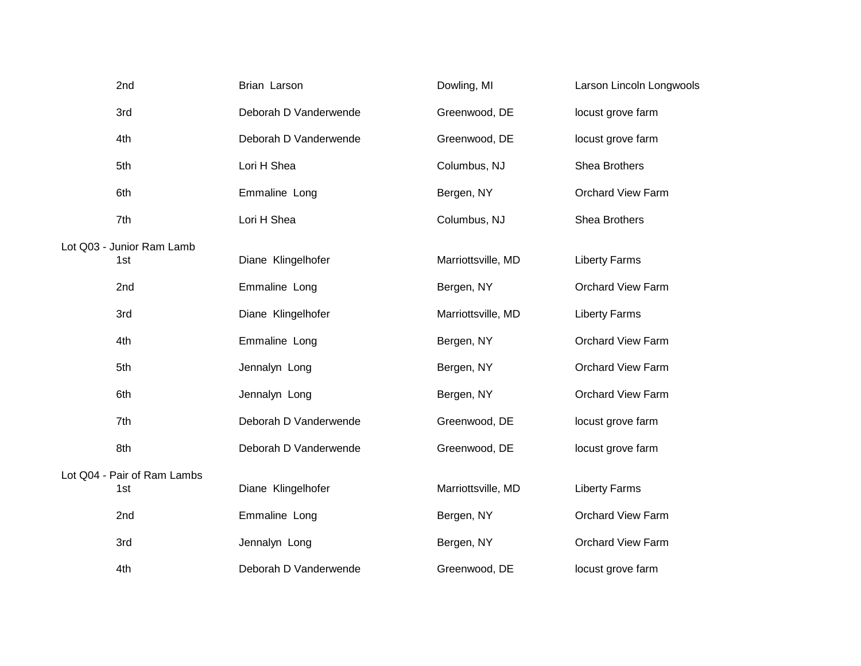| 2nd                                | Brian Larson          | Dowling, MI        | Larson Lincoln Longwools |
|------------------------------------|-----------------------|--------------------|--------------------------|
| 3rd                                | Deborah D Vanderwende | Greenwood, DE      | locust grove farm        |
| 4th                                | Deborah D Vanderwende | Greenwood, DE      | locust grove farm        |
| 5th                                | Lori H Shea           | Columbus, NJ       | Shea Brothers            |
| 6th                                | Emmaline Long         | Bergen, NY         | <b>Orchard View Farm</b> |
| 7th                                | Lori H Shea           | Columbus, NJ       | Shea Brothers            |
| Lot Q03 - Junior Ram Lamb<br>1st   | Diane Klingelhofer    | Marriottsville, MD | <b>Liberty Farms</b>     |
| 2nd                                | Emmaline Long         | Bergen, NY         | <b>Orchard View Farm</b> |
| 3rd                                | Diane Klingelhofer    | Marriottsville, MD | <b>Liberty Farms</b>     |
| 4th                                | Emmaline Long         | Bergen, NY         | <b>Orchard View Farm</b> |
| 5th                                | Jennalyn Long         | Bergen, NY         | <b>Orchard View Farm</b> |
| 6th                                | Jennalyn Long         | Bergen, NY         | <b>Orchard View Farm</b> |
| 7th                                | Deborah D Vanderwende | Greenwood, DE      | locust grove farm        |
| 8th                                | Deborah D Vanderwende | Greenwood, DE      | locust grove farm        |
| Lot Q04 - Pair of Ram Lambs<br>1st | Diane Klingelhofer    | Marriottsville, MD | <b>Liberty Farms</b>     |
| 2 <sub>nd</sub>                    | Emmaline Long         | Bergen, NY         | <b>Orchard View Farm</b> |
| 3rd                                | Jennalyn Long         | Bergen, NY         | <b>Orchard View Farm</b> |
| 4th                                | Deborah D Vanderwende | Greenwood, DE      | locust grove farm        |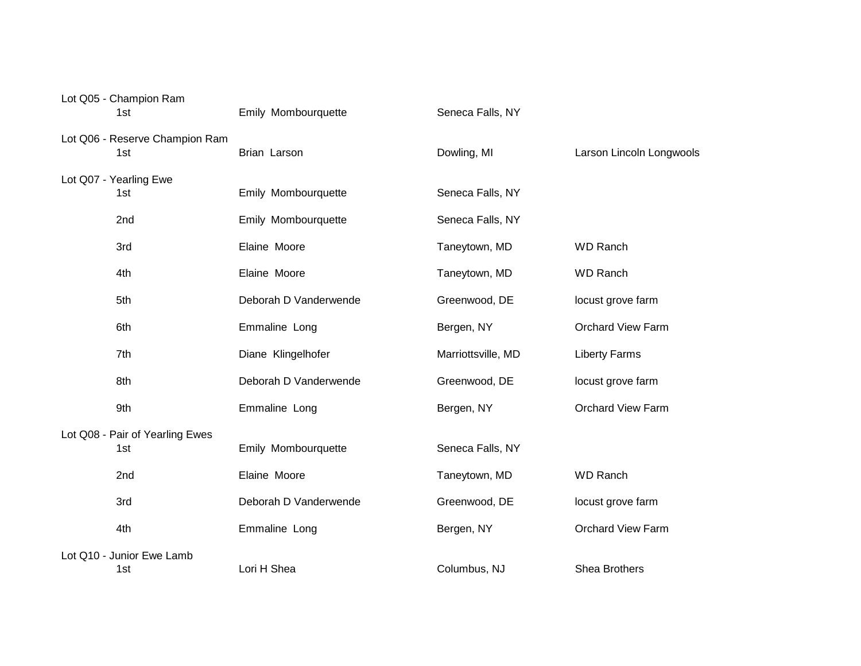| Lot Q05 - Champion Ram<br>1st          | Emily Mombourquette   | Seneca Falls, NY   |                          |
|----------------------------------------|-----------------------|--------------------|--------------------------|
| Lot Q06 - Reserve Champion Ram<br>1st  | Brian Larson          | Dowling, MI        | Larson Lincoln Longwools |
| Lot Q07 - Yearling Ewe<br>1st          | Emily Mombourquette   | Seneca Falls, NY   |                          |
| 2nd                                    | Emily Mombourquette   | Seneca Falls, NY   |                          |
| 3rd                                    | Elaine Moore          | Taneytown, MD      | <b>WD Ranch</b>          |
| 4th                                    | Elaine Moore          | Taneytown, MD      | <b>WD Ranch</b>          |
| 5th                                    | Deborah D Vanderwende | Greenwood, DE      | locust grove farm        |
| 6th                                    | Emmaline Long         | Bergen, NY         | <b>Orchard View Farm</b> |
| 7th                                    | Diane Klingelhofer    | Marriottsville, MD | <b>Liberty Farms</b>     |
| 8th                                    | Deborah D Vanderwende | Greenwood, DE      | locust grove farm        |
| 9th                                    | Emmaline Long         | Bergen, NY         | <b>Orchard View Farm</b> |
| Lot Q08 - Pair of Yearling Ewes<br>1st | Emily Mombourquette   | Seneca Falls, NY   |                          |
| 2nd                                    | Elaine Moore          | Taneytown, MD      | <b>WD Ranch</b>          |
| 3rd                                    | Deborah D Vanderwende | Greenwood, DE      | locust grove farm        |
| 4th                                    | Emmaline Long         | Bergen, NY         | <b>Orchard View Farm</b> |
| Lot Q10 - Junior Ewe Lamb<br>1st       | Lori H Shea           | Columbus, NJ       | <b>Shea Brothers</b>     |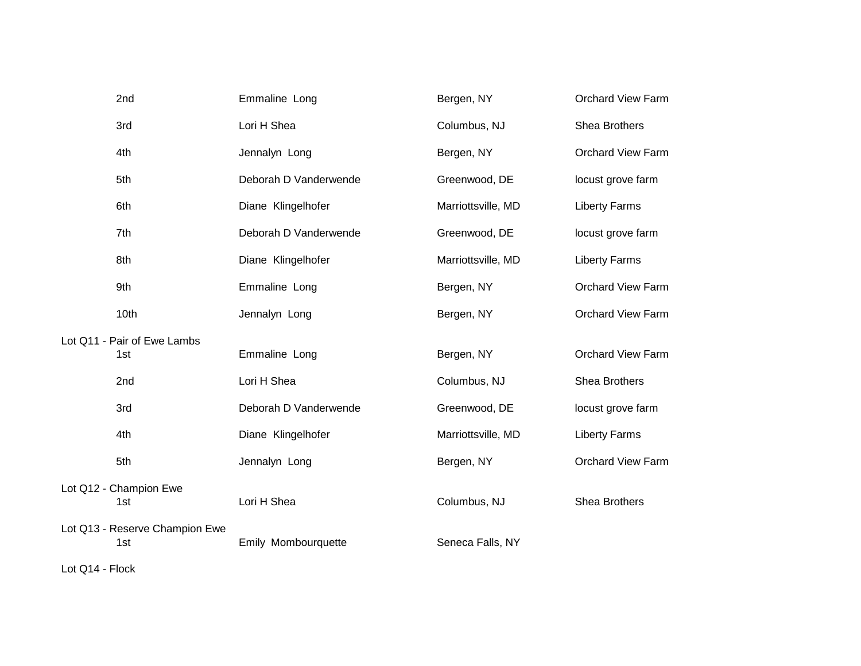| 2nd                                   | Emmaline Long         | Bergen, NY         | <b>Orchard View Farm</b> |
|---------------------------------------|-----------------------|--------------------|--------------------------|
| 3rd                                   | Lori H Shea           | Columbus, NJ       | Shea Brothers            |
| 4th                                   | Jennalyn Long         | Bergen, NY         | <b>Orchard View Farm</b> |
| 5th                                   | Deborah D Vanderwende | Greenwood, DE      | locust grove farm        |
| 6th                                   | Diane Klingelhofer    | Marriottsville, MD | <b>Liberty Farms</b>     |
| 7th                                   | Deborah D Vanderwende | Greenwood, DE      | locust grove farm        |
| 8th                                   | Diane Klingelhofer    | Marriottsville, MD | <b>Liberty Farms</b>     |
| 9th                                   | Emmaline Long         | Bergen, NY         | <b>Orchard View Farm</b> |
| 10th                                  | Jennalyn Long         | Bergen, NY         | <b>Orchard View Farm</b> |
| Lot Q11 - Pair of Ewe Lambs           |                       |                    |                          |
| 1st                                   | Emmaline Long         | Bergen, NY         | <b>Orchard View Farm</b> |
| 2nd                                   | Lori H Shea           | Columbus, NJ       | Shea Brothers            |
| 3rd                                   | Deborah D Vanderwende | Greenwood, DE      | locust grove farm        |
| 4th                                   | Diane Klingelhofer    | Marriottsville, MD | <b>Liberty Farms</b>     |
| 5th                                   | Jennalyn Long         | Bergen, NY         | <b>Orchard View Farm</b> |
| Lot Q12 - Champion Ewe<br>1st         | Lori H Shea           | Columbus, NJ       | Shea Brothers            |
| Lot Q13 - Reserve Champion Ewe<br>1st | Emily Mombourquette   | Seneca Falls, NY   |                          |

Lot Q14 - Flock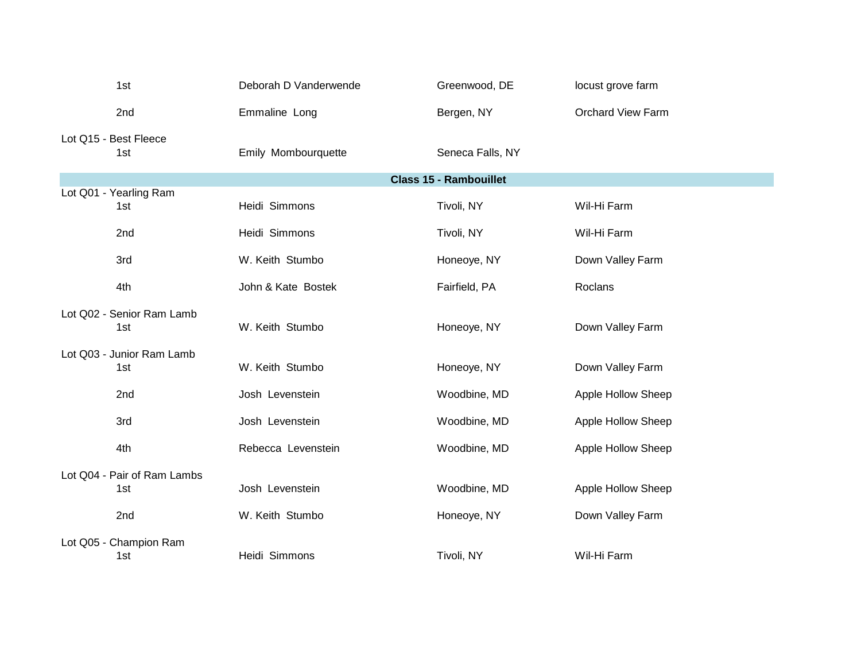| 1st                                | Deborah D Vanderwende | Greenwood, DE    | locust grove farm        |  |
|------------------------------------|-----------------------|------------------|--------------------------|--|
| 2nd                                | Emmaline Long         | Bergen, NY       | <b>Orchard View Farm</b> |  |
| Lot Q15 - Best Fleece<br>1st       | Emily Mombourquette   | Seneca Falls, NY |                          |  |
| <b>Class 15 - Rambouillet</b>      |                       |                  |                          |  |
| Lot Q01 - Yearling Ram<br>1st      | Heidi Simmons         | Tivoli, NY       | Wil-Hi Farm              |  |
| 2nd                                | Heidi Simmons         | Tivoli, NY       | Wil-Hi Farm              |  |
| 3rd                                | W. Keith Stumbo       | Honeoye, NY      | Down Valley Farm         |  |
| 4th                                | John & Kate Bostek    | Fairfield, PA    | Roclans                  |  |
| Lot Q02 - Senior Ram Lamb<br>1st   | W. Keith Stumbo       | Honeoye, NY      | Down Valley Farm         |  |
| Lot Q03 - Junior Ram Lamb<br>1st   | W. Keith Stumbo       | Honeoye, NY      | Down Valley Farm         |  |
| 2nd                                | Josh Levenstein       | Woodbine, MD     | Apple Hollow Sheep       |  |
| 3rd                                | Josh Levenstein       | Woodbine, MD     | Apple Hollow Sheep       |  |
| 4th                                | Rebecca Levenstein    | Woodbine, MD     | Apple Hollow Sheep       |  |
| Lot Q04 - Pair of Ram Lambs<br>1st | Josh Levenstein       | Woodbine, MD     | Apple Hollow Sheep       |  |
| 2nd                                | W. Keith Stumbo       | Honeoye, NY      | Down Valley Farm         |  |
| Lot Q05 - Champion Ram<br>1st      | Heidi Simmons         | Tivoli, NY       | Wil-Hi Farm              |  |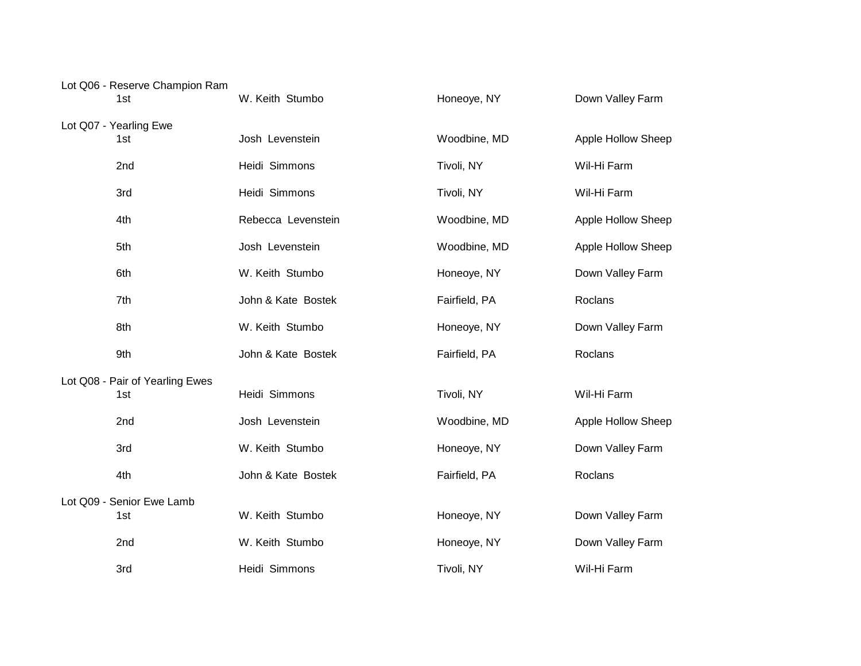| Lot Q06 - Reserve Champion Ram<br>1st  | W. Keith Stumbo    | Honeoye, NY   | Down Valley Farm   |
|----------------------------------------|--------------------|---------------|--------------------|
| Lot Q07 - Yearling Ewe<br>1st          | Josh Levenstein    | Woodbine, MD  | Apple Hollow Sheep |
| 2nd                                    | Heidi Simmons      | Tivoli, NY    | Wil-Hi Farm        |
| 3rd                                    | Heidi Simmons      | Tivoli, NY    | Wil-Hi Farm        |
| 4th                                    | Rebecca Levenstein | Woodbine, MD  | Apple Hollow Sheep |
| 5th                                    | Josh Levenstein    | Woodbine, MD  | Apple Hollow Sheep |
| 6th                                    | W. Keith Stumbo    | Honeoye, NY   | Down Valley Farm   |
| 7th                                    | John & Kate Bostek | Fairfield, PA | Roclans            |
| 8th                                    | W. Keith Stumbo    | Honeoye, NY   | Down Valley Farm   |
| 9th                                    | John & Kate Bostek | Fairfield, PA | Roclans            |
| Lot Q08 - Pair of Yearling Ewes<br>1st | Heidi Simmons      | Tivoli, NY    | Wil-Hi Farm        |
| 2nd                                    | Josh Levenstein    | Woodbine, MD  | Apple Hollow Sheep |
| 3rd                                    | W. Keith Stumbo    | Honeoye, NY   | Down Valley Farm   |
| 4th                                    | John & Kate Bostek | Fairfield, PA | Roclans            |
| Lot Q09 - Senior Ewe Lamb<br>1st       | W. Keith Stumbo    | Honeoye, NY   | Down Valley Farm   |
| 2nd                                    | W. Keith Stumbo    | Honeoye, NY   | Down Valley Farm   |
| 3rd                                    | Heidi Simmons      | Tivoli, NY    | Wil-Hi Farm        |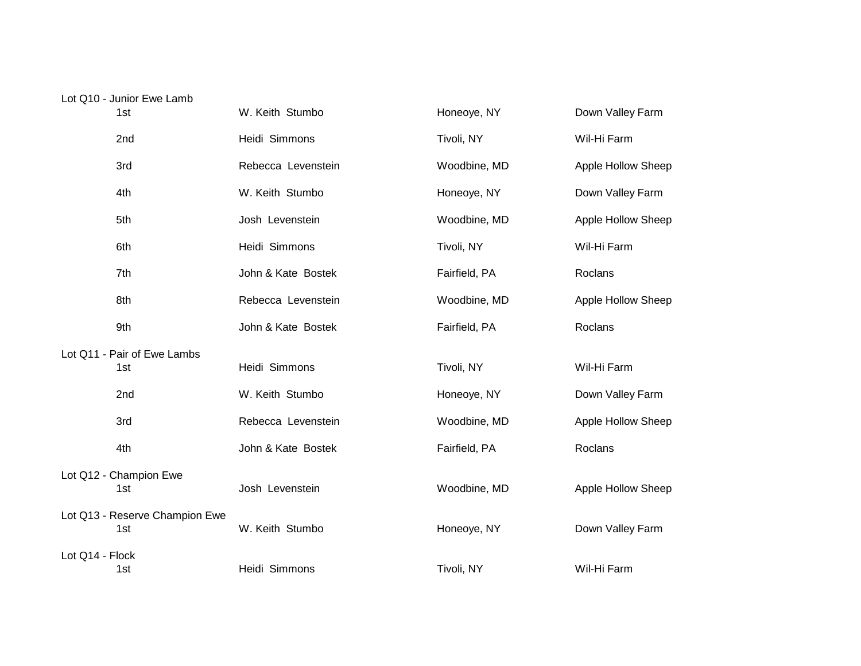| Lot Q10 - Junior Ewe Lamb   |                    |               |                    |
|-----------------------------|--------------------|---------------|--------------------|
| 1st                         | W. Keith Stumbo    | Honeoye, NY   | Down Valley Farm   |
| 2 <sub>nd</sub>             | Heidi Simmons      | Tivoli, NY    | Wil-Hi Farm        |
| 3rd                         | Rebecca Levenstein | Woodbine, MD  | Apple Hollow Sheep |
| 4th                         | W. Keith Stumbo    | Honeoye, NY   | Down Valley Farm   |
| 5th                         | Josh Levenstein    | Woodbine, MD  | Apple Hollow Sheep |
| 6th                         | Heidi Simmons      | Tivoli, NY    | Wil-Hi Farm        |
| 7th                         | John & Kate Bostek | Fairfield, PA | Roclans            |
| 8th                         | Rebecca Levenstein | Woodbine, MD  | Apple Hollow Sheep |
| 9th                         | John & Kate Bostek | Fairfield, PA | Roclans            |
| Lot Q11 - Pair of Ewe Lambs |                    |               |                    |
| 1st                         | Heidi Simmons      | Tivoli, NY    | Wil-Hi Farm        |
| 2nd                         | W. Keith Stumbo    | Honeoye, NY   | Down Valley Farm   |
| 3rd                         | Rebecca Levenstein | Woodbine, MD  | Apple Hollow Sheep |
| 4th                         | John & Kate Bostek | Fairfield, PA | Roclans            |
|                             |                    |               |                    |

Josh Levenstein **Music Communist Contract Contract Contract Contract Contract Contract Contract Contract Contract Contract Contract Contract Contract Contract Contract Contract Contract Contract Contract Contract Contract** 

W. Keith Stumbo **1st Weith Stumbo** Honeoye, NY **Down Valley Farm** 

1st 15t 15t Heidi Simmons 15t 15t Tivoli, NY 15t Wil-Hi Farm

Lot Q12 - Champion Ewe<br>1st

Lot Q14 - Flock

Lot Q13 - Reserve Champion Ewe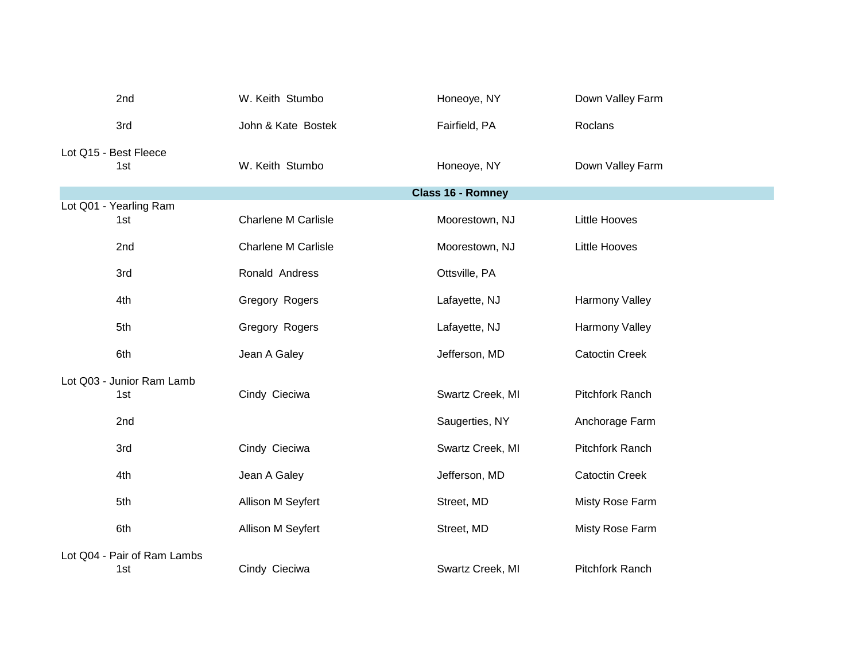| 2nd                           | W. Keith Stumbo            | Honeoye, NY       | Down Valley Farm       |
|-------------------------------|----------------------------|-------------------|------------------------|
| 3rd                           | John & Kate Bostek         | Fairfield, PA     | Roclans                |
| Lot Q15 - Best Fleece<br>1st  | W. Keith Stumbo            | Honeoye, NY       | Down Valley Farm       |
|                               |                            | Class 16 - Romney |                        |
| Lot Q01 - Yearling Ram<br>1st | <b>Charlene M Carlisle</b> | Moorestown, NJ    | <b>Little Hooves</b>   |
| 2nd                           | <b>Charlene M Carlisle</b> | Moorestown, NJ    | <b>Little Hooves</b>   |
| 3rd                           | Ronald Andress             | Ottsville, PA     |                        |
| 4th                           | Gregory Rogers             | Lafayette, NJ     | Harmony Valley         |
| 5th                           | Gregory Rogers             | Lafayette, NJ     | <b>Harmony Valley</b>  |
| 6th                           | Jean A Galey               | Jefferson, MD     | <b>Catoctin Creek</b>  |
| Lot Q03 - Junior Ram Lamb     |                            |                   |                        |
| 1st                           | Cindy Cieciwa              | Swartz Creek, MI  | Pitchfork Ranch        |
| 2nd                           |                            | Saugerties, NY    | Anchorage Farm         |
| 3rd                           | Cindy Cieciwa              | Swartz Creek, MI  | Pitchfork Ranch        |
| 4th                           | Jean A Galey               | Jefferson, MD     | <b>Catoctin Creek</b>  |
| 5th                           | Allison M Seyfert          | Street, MD        | Misty Rose Farm        |
| 6th                           | Allison M Seyfert          | Street, MD        | Misty Rose Farm        |
| Lot Q04 - Pair of Ram Lambs   |                            |                   |                        |
| 1st                           | Cindy Cieciwa              | Swartz Creek, MI  | <b>Pitchfork Ranch</b> |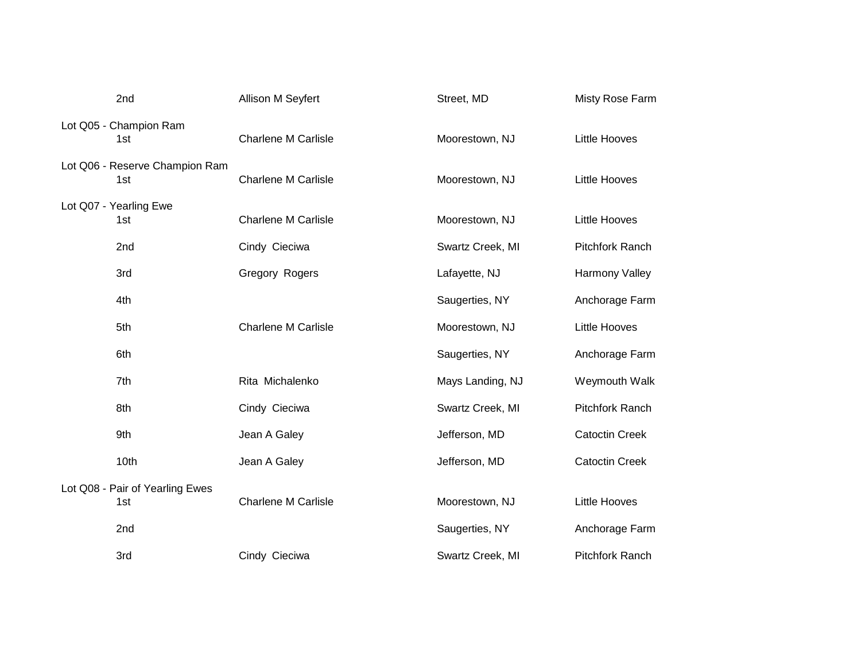| 2nd                                    | Allison M Seyfert          | Street, MD       | Misty Rose Farm       |
|----------------------------------------|----------------------------|------------------|-----------------------|
| Lot Q05 - Champion Ram<br>1st          | <b>Charlene M Carlisle</b> | Moorestown, NJ   | <b>Little Hooves</b>  |
| Lot Q06 - Reserve Champion Ram<br>1st  | <b>Charlene M Carlisle</b> | Moorestown, NJ   | <b>Little Hooves</b>  |
| Lot Q07 - Yearling Ewe<br>1st          | <b>Charlene M Carlisle</b> | Moorestown, NJ   | <b>Little Hooves</b>  |
| 2 <sub>nd</sub>                        | Cindy Cieciwa              | Swartz Creek, MI | Pitchfork Ranch       |
| 3rd                                    | Gregory Rogers             | Lafayette, NJ    | Harmony Valley        |
| 4th                                    |                            | Saugerties, NY   | Anchorage Farm        |
| 5th                                    | <b>Charlene M Carlisle</b> | Moorestown, NJ   | Little Hooves         |
| 6th                                    |                            | Saugerties, NY   | Anchorage Farm        |
| 7th                                    | Rita Michalenko            | Mays Landing, NJ | Weymouth Walk         |
| 8th                                    | Cindy Cieciwa              | Swartz Creek, MI | Pitchfork Ranch       |
| 9th                                    | Jean A Galey               | Jefferson, MD    | <b>Catoctin Creek</b> |
| 10th                                   | Jean A Galey               | Jefferson, MD    | <b>Catoctin Creek</b> |
| Lot Q08 - Pair of Yearling Ewes<br>1st | <b>Charlene M Carlisle</b> | Moorestown, NJ   | <b>Little Hooves</b>  |
| 2nd                                    |                            | Saugerties, NY   | Anchorage Farm        |
| 3rd                                    | Cindy Cieciwa              | Swartz Creek, MI | Pitchfork Ranch       |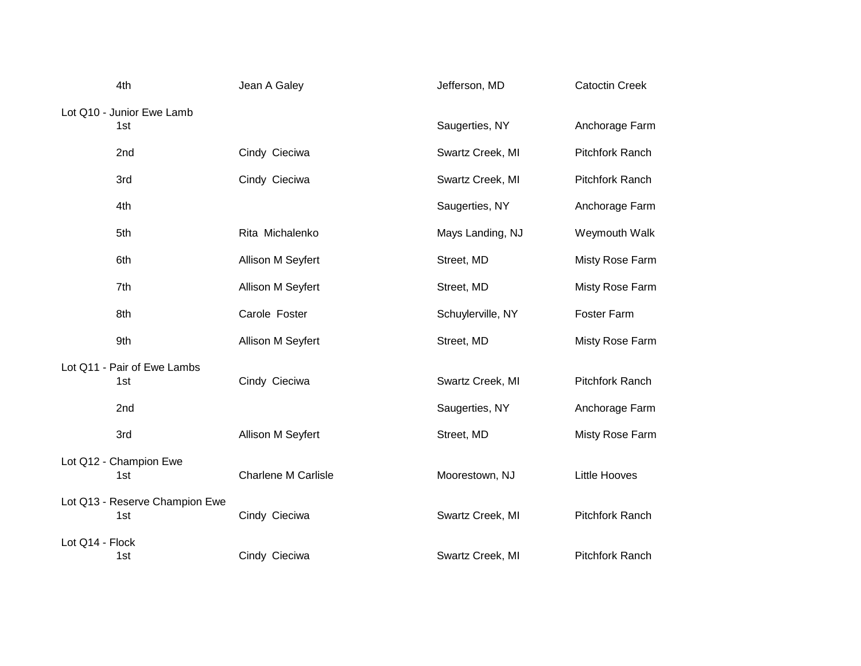|                        | 4th                            | Jean A Galey               | Jefferson, MD     | <b>Catoctin Creek</b>  |
|------------------------|--------------------------------|----------------------------|-------------------|------------------------|
|                        | Lot Q10 - Junior Ewe Lamb      |                            |                   |                        |
|                        | 1st                            |                            | Saugerties, NY    | Anchorage Farm         |
|                        | 2nd                            | Cindy Cieciwa              | Swartz Creek, MI  | Pitchfork Ranch        |
|                        | 3rd                            | Cindy Cieciwa              | Swartz Creek, MI  | Pitchfork Ranch        |
|                        | 4th                            |                            | Saugerties, NY    | Anchorage Farm         |
|                        | 5th                            | Rita Michalenko            | Mays Landing, NJ  | Weymouth Walk          |
|                        | 6th                            | Allison M Seyfert          | Street, MD        | Misty Rose Farm        |
|                        | 7th                            | Allison M Seyfert          | Street, MD        | Misty Rose Farm        |
|                        | 8th                            | Carole Foster              | Schuylerville, NY | Foster Farm            |
|                        | 9th                            | Allison M Seyfert          | Street, MD        | Misty Rose Farm        |
|                        | Lot Q11 - Pair of Ewe Lambs    |                            |                   |                        |
|                        | 1st                            | Cindy Cieciwa              | Swartz Creek, MI  | Pitchfork Ranch        |
|                        | 2nd                            |                            | Saugerties, NY    | Anchorage Farm         |
|                        | 3rd                            | Allison M Seyfert          | Street, MD        | Misty Rose Farm        |
| Lot Q12 - Champion Ewe |                                |                            |                   |                        |
|                        | 1st                            | <b>Charlene M Carlisle</b> | Moorestown, NJ    | <b>Little Hooves</b>   |
|                        | Lot Q13 - Reserve Champion Ewe |                            |                   |                        |
|                        | 1st                            | Cindy Cieciwa              | Swartz Creek, MI  | Pitchfork Ranch        |
| Lot Q14 - Flock        |                                |                            |                   |                        |
|                        | 1st                            | Cindy Cieciwa              | Swartz Creek, MI  | <b>Pitchfork Ranch</b> |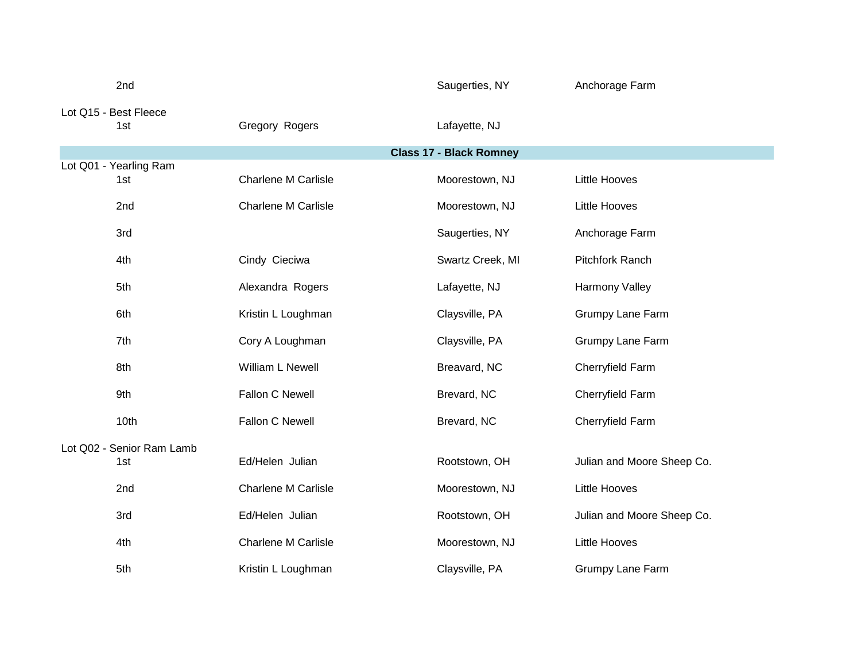|                           | 2nd                           |                            | Saugerties, NY                 | Anchorage Farm             |
|---------------------------|-------------------------------|----------------------------|--------------------------------|----------------------------|
|                           | Lot Q15 - Best Fleece<br>1st  | Gregory Rogers             | Lafayette, NJ                  |                            |
|                           |                               |                            | <b>Class 17 - Black Romney</b> |                            |
|                           | Lot Q01 - Yearling Ram<br>1st | <b>Charlene M Carlisle</b> | Moorestown, NJ                 | <b>Little Hooves</b>       |
|                           | 2nd                           | Charlene M Carlisle        | Moorestown, NJ                 | <b>Little Hooves</b>       |
|                           | 3rd                           |                            | Saugerties, NY                 | Anchorage Farm             |
|                           | 4th                           | Cindy Cieciwa              | Swartz Creek, MI               | <b>Pitchfork Ranch</b>     |
|                           | 5th                           | Alexandra Rogers           | Lafayette, NJ                  | Harmony Valley             |
|                           | 6th                           | Kristin L Loughman         | Claysville, PA                 | Grumpy Lane Farm           |
|                           | 7th                           | Cory A Loughman            | Claysville, PA                 | Grumpy Lane Farm           |
|                           | 8th                           | William L Newell           | Breavard, NC                   | Cherryfield Farm           |
|                           | 9th                           | Fallon C Newell            | Brevard, NC                    | Cherryfield Farm           |
|                           | 10th                          | Fallon C Newell            | Brevard, NC                    | Cherryfield Farm           |
| Lot Q02 - Senior Ram Lamb |                               |                            |                                |                            |
|                           | 1st                           | Ed/Helen Julian            | Rootstown, OH                  | Julian and Moore Sheep Co. |
|                           | 2nd                           | <b>Charlene M Carlisle</b> | Moorestown, NJ                 | <b>Little Hooves</b>       |
|                           | 3rd                           | Ed/Helen Julian            | Rootstown, OH                  | Julian and Moore Sheep Co. |
|                           | 4th                           | <b>Charlene M Carlisle</b> | Moorestown, NJ                 | <b>Little Hooves</b>       |
|                           | 5th                           | Kristin L Loughman         | Claysville, PA                 | Grumpy Lane Farm           |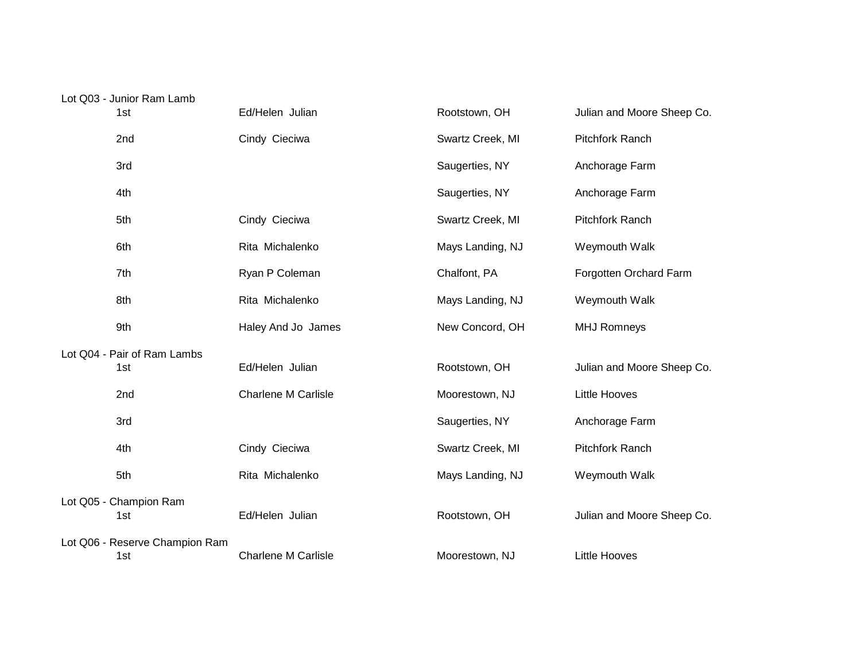| Lot Q03 - Junior Ram Lamb      |                            |                  |                            |
|--------------------------------|----------------------------|------------------|----------------------------|
| 1st                            | Ed/Helen Julian            | Rootstown, OH    | Julian and Moore Sheep Co. |
| 2nd                            | Cindy Cieciwa              | Swartz Creek, MI | <b>Pitchfork Ranch</b>     |
| 3rd                            |                            | Saugerties, NY   | Anchorage Farm             |
| 4th                            |                            | Saugerties, NY   | Anchorage Farm             |
| 5th                            | Cindy Cieciwa              | Swartz Creek, MI | <b>Pitchfork Ranch</b>     |
| 6th                            | Rita Michalenko            | Mays Landing, NJ | Weymouth Walk              |
| 7th                            | Ryan P Coleman             | Chalfont, PA     | Forgotten Orchard Farm     |
| 8th                            | Rita Michalenko            | Mays Landing, NJ | Weymouth Walk              |
| 9th                            | Haley And Jo James         | New Concord, OH  | <b>MHJ Romneys</b>         |
| Lot Q04 - Pair of Ram Lambs    |                            |                  |                            |
| 1st                            | Ed/Helen Julian            | Rootstown, OH    | Julian and Moore Sheep Co. |
| 2nd                            | <b>Charlene M Carlisle</b> | Moorestown, NJ   | <b>Little Hooves</b>       |
| 3rd                            |                            | Saugerties, NY   | Anchorage Farm             |
| 4th                            | Cindy Cieciwa              | Swartz Creek, MI | Pitchfork Ranch            |
| 5th                            | Rita Michalenko            | Mays Landing, NJ | Weymouth Walk              |
| Lot Q05 - Champion Ram         |                            |                  |                            |
| 1st                            | Ed/Helen Julian            | Rootstown, OH    | Julian and Moore Sheep Co. |
| Lot Q06 - Reserve Champion Ram |                            |                  |                            |
| 1st                            | Charlene M Carlisle        | Moorestown, NJ   | <b>Little Hooves</b>       |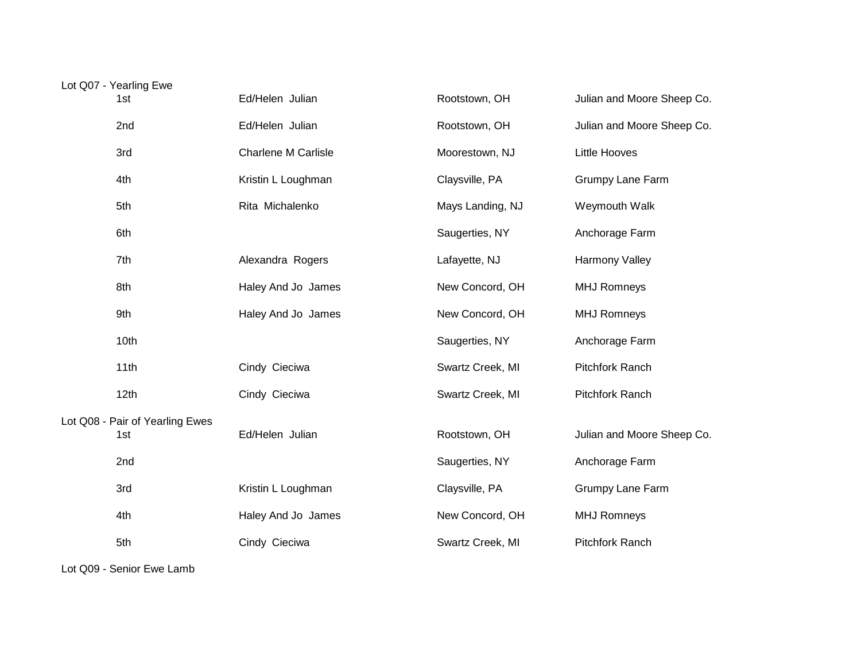| Lot Q07 - Yearling Ewe |                                 |                            |                  |                            |
|------------------------|---------------------------------|----------------------------|------------------|----------------------------|
|                        | 1st                             | Ed/Helen Julian            | Rootstown, OH    | Julian and Moore Sheep Co. |
|                        | 2nd                             | Ed/Helen Julian            | Rootstown, OH    | Julian and Moore Sheep Co. |
|                        | 3rd                             | <b>Charlene M Carlisle</b> | Moorestown, NJ   | <b>Little Hooves</b>       |
|                        | 4th                             | Kristin L Loughman         | Claysville, PA   | Grumpy Lane Farm           |
|                        | 5th                             | Rita Michalenko            | Mays Landing, NJ | Weymouth Walk              |
|                        | 6th                             |                            | Saugerties, NY   | Anchorage Farm             |
|                        | 7th                             | Alexandra Rogers           | Lafayette, NJ    | <b>Harmony Valley</b>      |
|                        | 8th                             | Haley And Jo James         | New Concord, OH  | <b>MHJ Romneys</b>         |
|                        | 9th                             | Haley And Jo James         | New Concord, OH  | <b>MHJ Romneys</b>         |
|                        | 10th                            |                            | Saugerties, NY   | Anchorage Farm             |
|                        | 11th                            | Cindy Cieciwa              | Swartz Creek, MI | Pitchfork Ranch            |
|                        | 12th                            | Cindy Cieciwa              | Swartz Creek, MI | Pitchfork Ranch            |
|                        | Lot Q08 - Pair of Yearling Ewes |                            |                  |                            |
|                        | 1st                             | Ed/Helen Julian            | Rootstown, OH    | Julian and Moore Sheep Co. |
|                        | 2nd                             |                            | Saugerties, NY   | Anchorage Farm             |
|                        | 3rd                             | Kristin L Loughman         | Claysville, PA   | Grumpy Lane Farm           |
|                        | 4th                             | Haley And Jo James         | New Concord, OH  | <b>MHJ Romneys</b>         |
|                        | 5th                             | Cindy Cieciwa              | Swartz Creek, MI | <b>Pitchfork Ranch</b>     |

Lot Q09 - Senior Ewe Lamb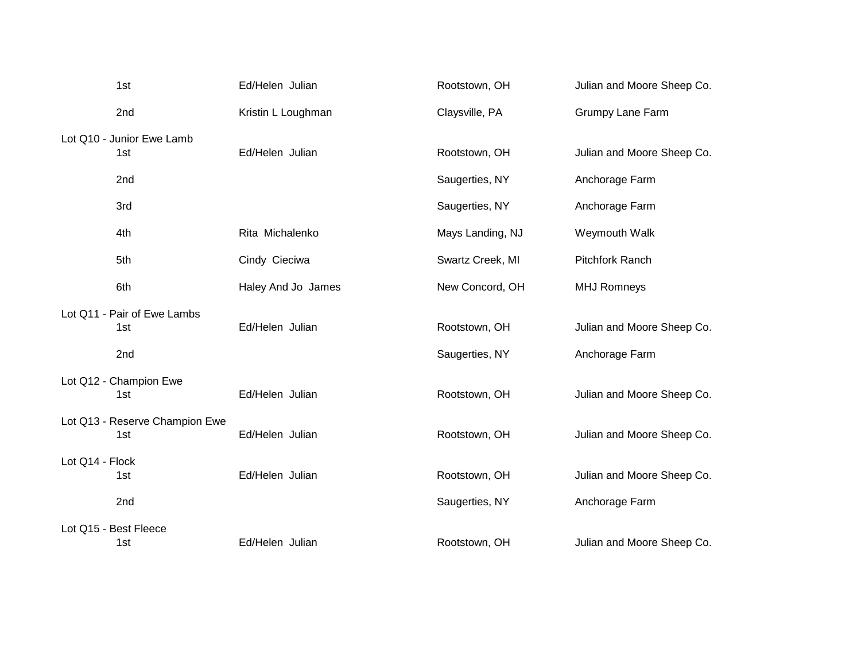| 1st                            | Ed/Helen Julian    | Rootstown, OH    | Julian and Moore Sheep Co. |
|--------------------------------|--------------------|------------------|----------------------------|
| 2nd                            | Kristin L Loughman | Claysville, PA   | <b>Grumpy Lane Farm</b>    |
| Lot Q10 - Junior Ewe Lamb      |                    |                  |                            |
| 1st                            | Ed/Helen Julian    | Rootstown, OH    | Julian and Moore Sheep Co. |
| 2nd                            |                    | Saugerties, NY   | Anchorage Farm             |
| 3rd                            |                    | Saugerties, NY   | Anchorage Farm             |
| 4th                            | Rita Michalenko    | Mays Landing, NJ | Weymouth Walk              |
| 5th                            | Cindy Cieciwa      | Swartz Creek, MI | Pitchfork Ranch            |
| 6th                            | Haley And Jo James | New Concord, OH  | <b>MHJ Romneys</b>         |
| Lot Q11 - Pair of Ewe Lambs    |                    |                  |                            |
| 1st                            | Ed/Helen Julian    | Rootstown, OH    | Julian and Moore Sheep Co. |
| 2nd                            |                    | Saugerties, NY   | Anchorage Farm             |
| Lot Q12 - Champion Ewe         |                    |                  |                            |
| 1st                            | Ed/Helen Julian    | Rootstown, OH    | Julian and Moore Sheep Co. |
| Lot Q13 - Reserve Champion Ewe |                    |                  |                            |
| 1st                            | Ed/Helen Julian    | Rootstown, OH    | Julian and Moore Sheep Co. |
| Lot Q14 - Flock                |                    |                  |                            |
| 1st                            | Ed/Helen Julian    | Rootstown, OH    | Julian and Moore Sheep Co. |
| 2nd                            |                    | Saugerties, NY   | Anchorage Farm             |
| Lot Q15 - Best Fleece          |                    |                  |                            |
| 1st                            | Ed/Helen Julian    | Rootstown, OH    | Julian and Moore Sheep Co. |